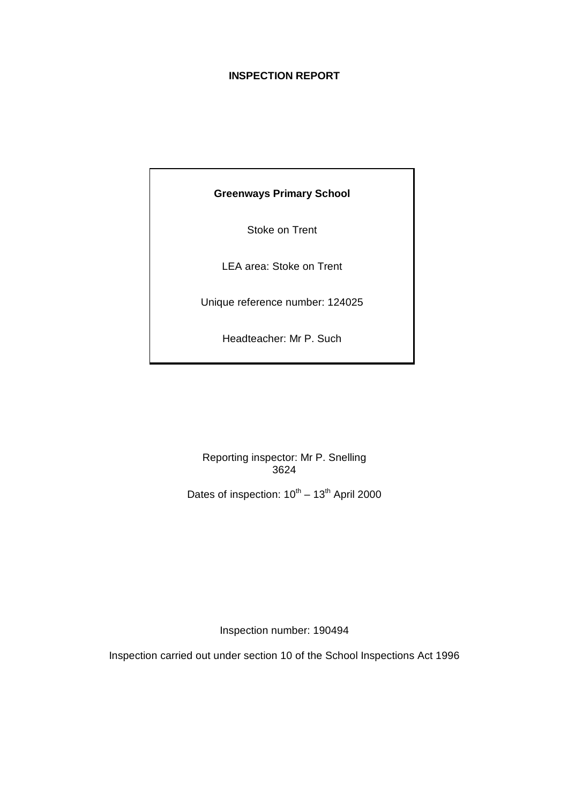# **INSPECTION REPORT**

# **Greenways Primary School**

Stoke on Trent

LEA area: Stoke on Trent

Unique reference number: 124025

Headteacher: Mr P. Such

Reporting inspector: Mr P. Snelling 3624

Dates of inspection:  $10^{th} - 13^{th}$  April 2000

Inspection number: 190494

Inspection carried out under section 10 of the School Inspections Act 1996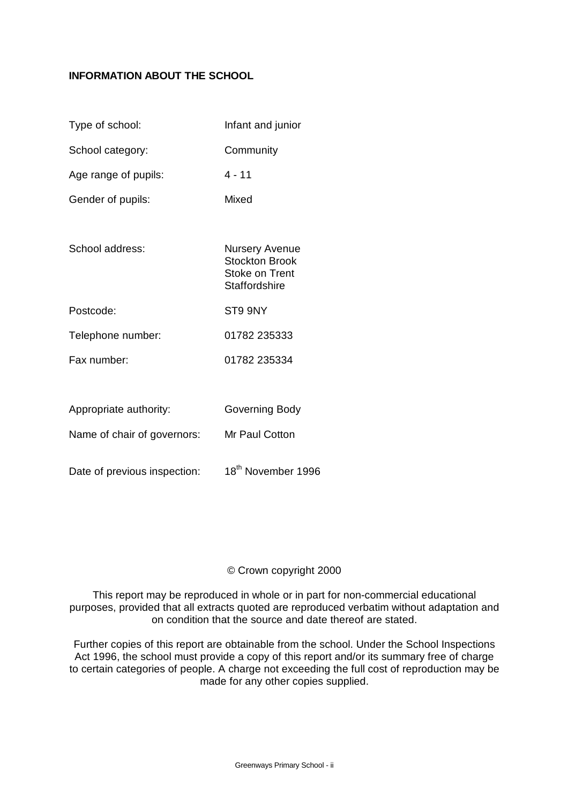# **INFORMATION ABOUT THE SCHOOL**

| Type of school:              | Infant and junior                                                                        |
|------------------------------|------------------------------------------------------------------------------------------|
| School category:             | Community                                                                                |
| Age range of pupils:         | $4 - 11$                                                                                 |
| Gender of pupils:            | Mixed                                                                                    |
|                              |                                                                                          |
| School address:              | <b>Nursery Avenue</b><br><b>Stockton Brook</b><br>Stoke on Trent<br><b>Staffordshire</b> |
| Postcode:                    | ST9 9NY                                                                                  |
| Telephone number:            | 01782 235333                                                                             |
| Fax number:                  | 01782 235334                                                                             |
|                              |                                                                                          |
| Appropriate authority:       | Governing Body                                                                           |
| Name of chair of governors:  | Mr Paul Cotton                                                                           |
| Date of previous inspection: | 18 <sup>th</sup> November 1996                                                           |

# © Crown copyright 2000

This report may be reproduced in whole or in part for non-commercial educational purposes, provided that all extracts quoted are reproduced verbatim without adaptation and on condition that the source and date thereof are stated.

Further copies of this report are obtainable from the school. Under the School Inspections Act 1996, the school must provide a copy of this report and/or its summary free of charge to certain categories of people. A charge not exceeding the full cost of reproduction may be made for any other copies supplied.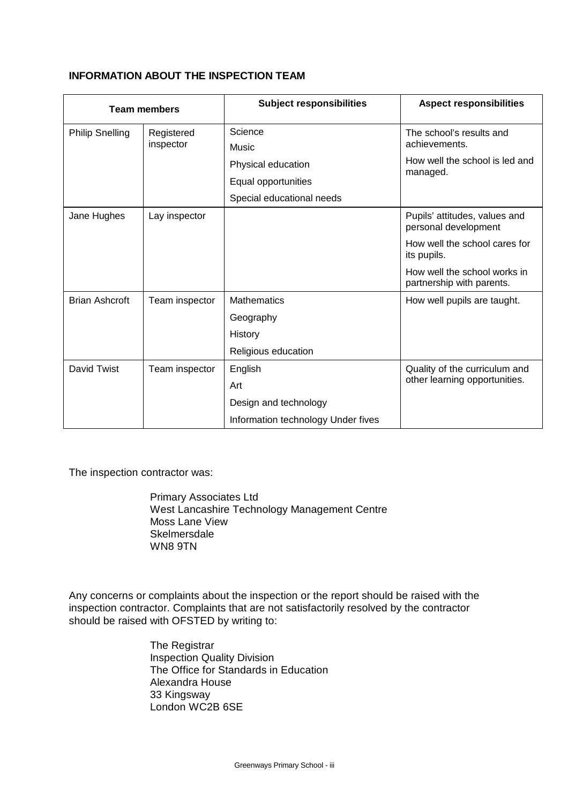# **INFORMATION ABOUT THE INSPECTION TEAM**

|                        | <b>Team members</b> | <b>Subject responsibilities</b>    | <b>Aspect responsibilities</b>                            |
|------------------------|---------------------|------------------------------------|-----------------------------------------------------------|
| <b>Philip Snelling</b> | Registered          | Science                            | The school's results and                                  |
|                        | inspector<br>Music  |                                    | achievements.                                             |
|                        |                     | Physical education                 | How well the school is led and<br>managed.                |
|                        | Equal opportunities |                                    |                                                           |
|                        |                     | Special educational needs          |                                                           |
| Jane Hughes            | Lay inspector       |                                    | Pupils' attitudes, values and<br>personal development     |
|                        |                     |                                    | How well the school cares for<br>its pupils.              |
|                        |                     |                                    | How well the school works in<br>partnership with parents. |
| <b>Brian Ashcroft</b>  | Team inspector      | <b>Mathematics</b>                 | How well pupils are taught.                               |
|                        |                     | Geography                          |                                                           |
|                        |                     | History                            |                                                           |
|                        |                     | Religious education                |                                                           |
| David Twist            | Team inspector      | English                            | Quality of the curriculum and                             |
|                        |                     | Art                                | other learning opportunities.                             |
|                        |                     | Design and technology              |                                                           |
|                        |                     | Information technology Under fives |                                                           |

The inspection contractor was:

Primary Associates Ltd West Lancashire Technology Management Centre Moss Lane View **Skelmersdale** WN8 9TN

Any concerns or complaints about the inspection or the report should be raised with the inspection contractor. Complaints that are not satisfactorily resolved by the contractor should be raised with OFSTED by writing to:

> The Registrar Inspection Quality Division The Office for Standards in Education Alexandra House 33 Kingsway London WC2B 6SE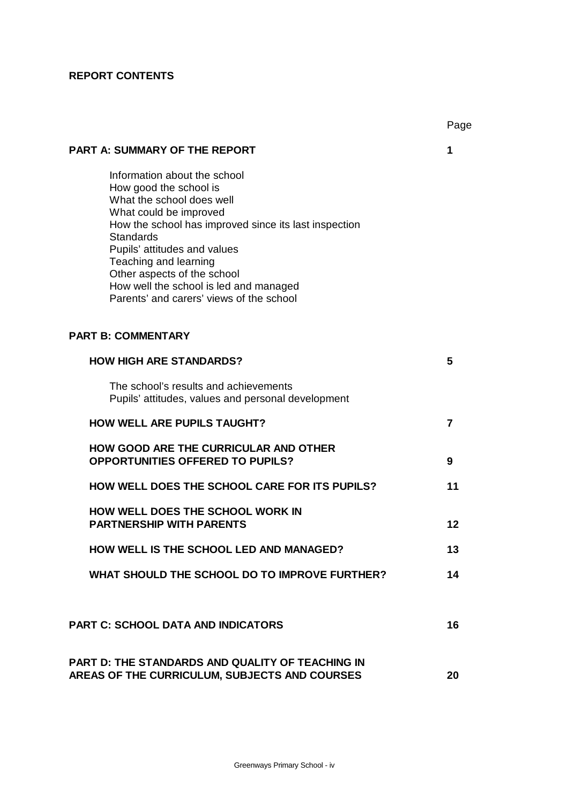# **REPORT CONTENTS**

|                                                                                                                                                                                                                                                                                                                                                                          | Page           |
|--------------------------------------------------------------------------------------------------------------------------------------------------------------------------------------------------------------------------------------------------------------------------------------------------------------------------------------------------------------------------|----------------|
| <b>PART A: SUMMARY OF THE REPORT</b>                                                                                                                                                                                                                                                                                                                                     | 1              |
| Information about the school<br>How good the school is<br>What the school does well<br>What could be improved<br>How the school has improved since its last inspection<br><b>Standards</b><br>Pupils' attitudes and values<br>Teaching and learning<br>Other aspects of the school<br>How well the school is led and managed<br>Parents' and carers' views of the school |                |
| <b>PART B: COMMENTARY</b>                                                                                                                                                                                                                                                                                                                                                |                |
| <b>HOW HIGH ARE STANDARDS?</b>                                                                                                                                                                                                                                                                                                                                           | 5              |
| The school's results and achievements<br>Pupils' attitudes, values and personal development                                                                                                                                                                                                                                                                              |                |
| <b>HOW WELL ARE PUPILS TAUGHT?</b>                                                                                                                                                                                                                                                                                                                                       | $\overline{7}$ |
| <b>HOW GOOD ARE THE CURRICULAR AND OTHER</b><br><b>OPPORTUNITIES OFFERED TO PUPILS?</b>                                                                                                                                                                                                                                                                                  | 9              |
| HOW WELL DOES THE SCHOOL CARE FOR ITS PUPILS?                                                                                                                                                                                                                                                                                                                            | 11             |
| <b>HOW WELL DOES THE SCHOOL WORK IN</b><br><b>PARTNERSHIP WITH PARENTS</b>                                                                                                                                                                                                                                                                                               | 12             |
| HOW WELL IS THE SCHOOL LED AND MANAGED?                                                                                                                                                                                                                                                                                                                                  | 13             |
| WHAT SHOULD THE SCHOOL DO TO IMPROVE FURTHER?                                                                                                                                                                                                                                                                                                                            | 14             |
|                                                                                                                                                                                                                                                                                                                                                                          |                |
| <b>PART C: SCHOOL DATA AND INDICATORS</b>                                                                                                                                                                                                                                                                                                                                | 16             |
| PART D: THE STANDARDS AND QUALITY OF TEACHING IN<br>AREAS OF THE CURRICULUM, SUBJECTS AND COURSES                                                                                                                                                                                                                                                                        | 20             |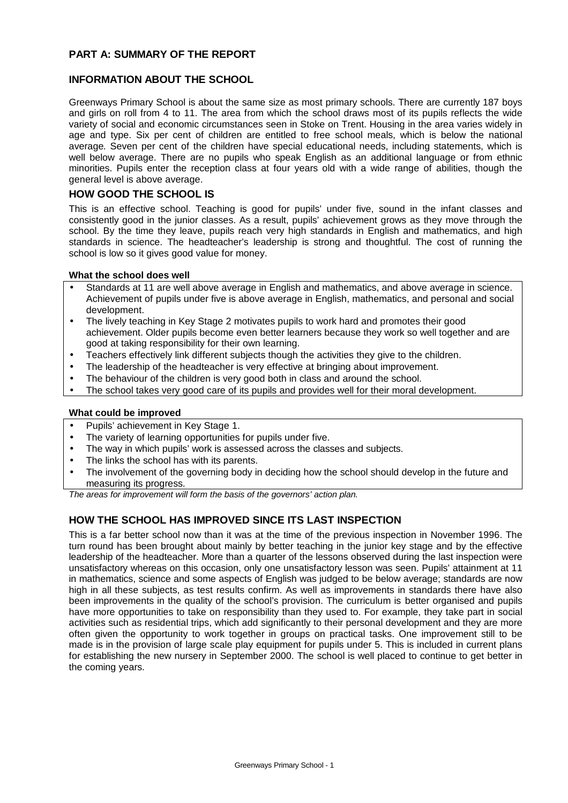# **PART A: SUMMARY OF THE REPORT**

# **INFORMATION ABOUT THE SCHOOL**

Greenways Primary School is about the same size as most primary schools. There are currently 187 boys and girls on roll from 4 to 11. The area from which the school draws most of its pupils reflects the wide variety of social and economic circumstances seen in Stoke on Trent. Housing in the area varies widely in age and type. Six per cent of children are entitled to free school meals, which is below the national average*.* Seven per cent of the children have special educational needs, including statements, which is well below average. There are no pupils who speak English as an additional language or from ethnic minorities. Pupils enter the reception class at four years old with a wide range of abilities, though the general level is above average.

### **HOW GOOD THE SCHOOL IS**

This is an effective school. Teaching is good for pupils' under five, sound in the infant classes and consistently good in the junior classes. As a result, pupils' achievement grows as they move through the school. By the time they leave, pupils reach very high standards in English and mathematics, and high standards in science. The headteacher's leadership is strong and thoughtful. The cost of running the school is low so it gives good value for money.

### **What the school does well**

- Standards at 11 are well above average in English and mathematics, and above average in science. Achievement of pupils under five is above average in English, mathematics, and personal and social development.
- The lively teaching in Key Stage 2 motivates pupils to work hard and promotes their good achievement. Older pupils become even better learners because they work so well together and are good at taking responsibility for their own learning.
- Teachers effectively link different subjects though the activities they give to the children.
- The leadership of the headteacher is very effective at bringing about improvement.
- The behaviour of the children is very good both in class and around the school.
- The school takes very good care of its pupils and provides well for their moral development.

### **What could be improved**

- Pupils' achievement in Key Stage 1.
- The variety of learning opportunities for pupils under five.
- The way in which pupils' work is assessed across the classes and subjects.
- The links the school has with its parents.
- The involvement of the governing body in deciding how the school should develop in the future and measuring its progress.

*The areas for improvement will form the basis of the governors' action plan.*

# **HOW THE SCHOOL HAS IMPROVED SINCE ITS LAST INSPECTION**

This is a far better school now than it was at the time of the previous inspection in November 1996. The turn round has been brought about mainly by better teaching in the junior key stage and by the effective leadership of the headteacher. More than a quarter of the lessons observed during the last inspection were unsatisfactory whereas on this occasion, only one unsatisfactory lesson was seen. Pupils' attainment at 11 in mathematics, science and some aspects of English was judged to be below average; standards are now high in all these subjects, as test results confirm. As well as improvements in standards there have also been improvements in the quality of the school's provision. The curriculum is better organised and pupils have more opportunities to take on responsibility than they used to. For example, they take part in social activities such as residential trips, which add significantly to their personal development and they are more often given the opportunity to work together in groups on practical tasks. One improvement still to be made is in the provision of large scale play equipment for pupils under 5. This is included in current plans for establishing the new nursery in September 2000. The school is well placed to continue to get better in the coming years.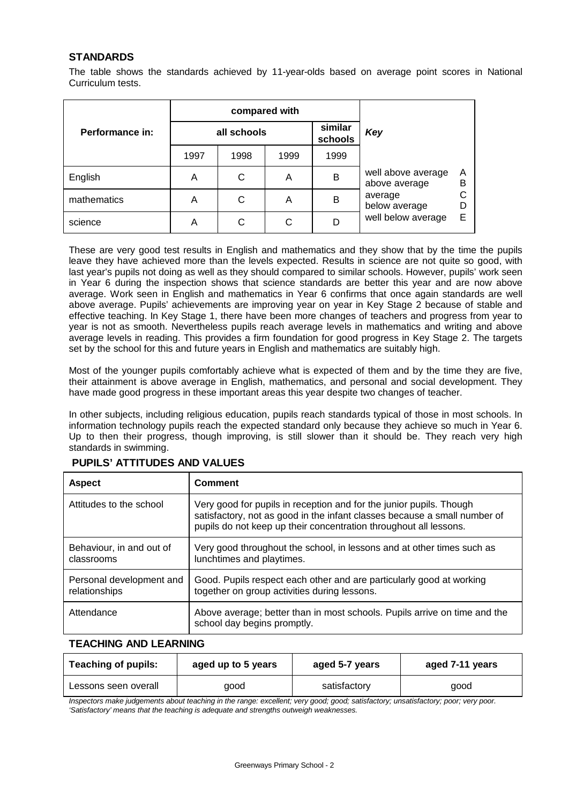# **STANDARDS**

The table shows the standards achieved by 11-year-olds based on average point scores in National Curriculum tests.

|                 |      | compared with |      |                    |                                     |        |  |
|-----------------|------|---------------|------|--------------------|-------------------------------------|--------|--|
| Performance in: |      | all schools   |      | similar<br>schools | Key                                 |        |  |
|                 | 1997 | 1998          | 1999 | 1999               |                                     |        |  |
| English         | A    | С             | A    | в                  | well above average<br>above average | Α<br>в |  |
| mathematics     | Α    | С             | A    | B                  | average<br>below average            |        |  |
| science         | Α    | С             | C    |                    | well below average                  | Е      |  |

These are very good test results in English and mathematics and they show that by the time the pupils leave they have achieved more than the levels expected. Results in science are not quite so good, with last year's pupils not doing as well as they should compared to similar schools. However, pupils' work seen in Year 6 during the inspection shows that science standards are better this year and are now above average. Work seen in English and mathematics in Year 6 confirms that once again standards are well above average. Pupils' achievements are improving year on year in Key Stage 2 because of stable and effective teaching. In Key Stage 1, there have been more changes of teachers and progress from year to year is not as smooth. Nevertheless pupils reach average levels in mathematics and writing and above average levels in reading. This provides a firm foundation for good progress in Key Stage 2. The targets set by the school for this and future years in English and mathematics are suitably high.

Most of the younger pupils comfortably achieve what is expected of them and by the time they are five, their attainment is above average in English, mathematics, and personal and social development. They have made good progress in these important areas this year despite two changes of teacher.

In other subjects, including religious education, pupils reach standards typical of those in most schools. In information technology pupils reach the expected standard only because they achieve so much in Year 6. Up to then their progress, though improving, is still slower than it should be. They reach very high standards in swimming.

| <b>Aspect</b>                             | <b>Comment</b>                                                                                                                                                                                                        |
|-------------------------------------------|-----------------------------------------------------------------------------------------------------------------------------------------------------------------------------------------------------------------------|
| Attitudes to the school                   | Very good for pupils in reception and for the junior pupils. Though<br>satisfactory, not as good in the infant classes because a small number of<br>pupils do not keep up their concentration throughout all lessons. |
| Behaviour, in and out of<br>classrooms    | Very good throughout the school, in lessons and at other times such as<br>lunchtimes and playtimes.                                                                                                                   |
| Personal development and<br>relationships | Good. Pupils respect each other and are particularly good at working<br>together on group activities during lessons.                                                                                                  |
| Attendance                                | Above average; better than in most schools. Pupils arrive on time and the<br>school day begins promptly.                                                                                                              |

# **PUPILS' ATTITUDES AND VALUES**

# **TEACHING AND LEARNING**

| <b>Teaching of pupils:</b> | aged up to 5 years | aged 5-7 years | aged 7-11 years |
|----------------------------|--------------------|----------------|-----------------|
| Lessons seen overall       | qood               | satisfactory   | good            |

*Inspectors make judgements about teaching in the range: excellent; very good; good; satisfactory; unsatisfactory; poor; very poor. 'Satisfactory' means that the teaching is adequate and strengths outweigh weaknesses.*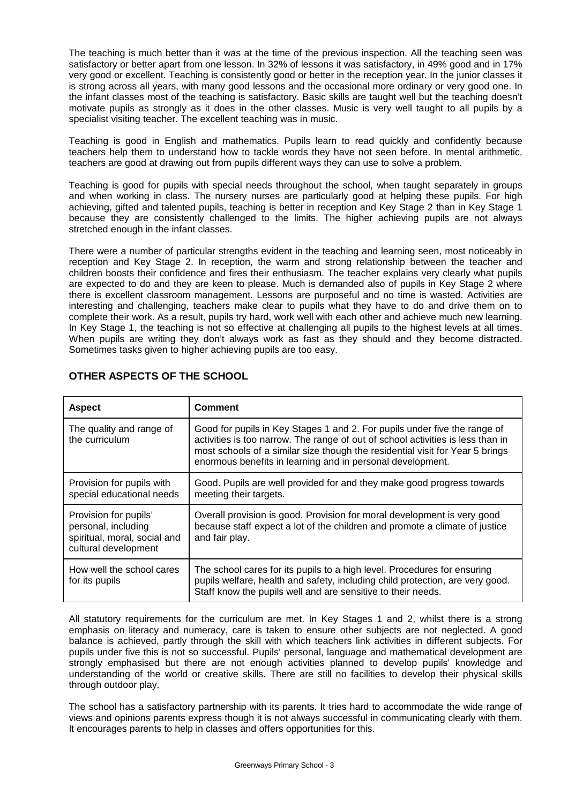The teaching is much better than it was at the time of the previous inspection. All the teaching seen was satisfactory or better apart from one lesson. In 32% of lessons it was satisfactory, in 49% good and in 17% very good or excellent. Teaching is consistently good or better in the reception year. In the junior classes it is strong across all years, with many good lessons and the occasional more ordinary or very good one. In the infant classes most of the teaching is satisfactory. Basic skills are taught well but the teaching doesn't motivate pupils as strongly as it does in the other classes. Music is very well taught to all pupils by a specialist visiting teacher. The excellent teaching was in music.

Teaching is good in English and mathematics. Pupils learn to read quickly and confidently because teachers help them to understand how to tackle words they have not seen before. In mental arithmetic, teachers are good at drawing out from pupils different ways they can use to solve a problem.

Teaching is good for pupils with special needs throughout the school, when taught separately in groups and when working in class. The nursery nurses are particularly good at helping these pupils. For high achieving, gifted and talented pupils, teaching is better in reception and Key Stage 2 than in Key Stage 1 because they are consistently challenged to the limits. The higher achieving pupils are not always stretched enough in the infant classes.

There were a number of particular strengths evident in the teaching and learning seen, most noticeably in reception and Key Stage 2. In reception, the warm and strong relationship between the teacher and children boosts their confidence and fires their enthusiasm. The teacher explains very clearly what pupils are expected to do and they are keen to please. Much is demanded also of pupils in Key Stage 2 where there is excellent classroom management. Lessons are purposeful and no time is wasted. Activities are interesting and challenging, teachers make clear to pupils what they have to do and drive them on to complete their work. As a result, pupils try hard, work well with each other and achieve much new learning. In Key Stage 1, the teaching is not so effective at challenging all pupils to the highest levels at all times. When pupils are writing they don't always work as fast as they should and they become distracted. Sometimes tasks given to higher achieving pupils are too easy.

| <b>Aspect</b>                                                                                        | <b>Comment</b>                                                                                                                                                                                                                                                                                              |
|------------------------------------------------------------------------------------------------------|-------------------------------------------------------------------------------------------------------------------------------------------------------------------------------------------------------------------------------------------------------------------------------------------------------------|
| The quality and range of<br>the curriculum                                                           | Good for pupils in Key Stages 1 and 2. For pupils under five the range of<br>activities is too narrow. The range of out of school activities is less than in<br>most schools of a similar size though the residential visit for Year 5 brings<br>enormous benefits in learning and in personal development. |
| Provision for pupils with<br>special educational needs                                               | Good. Pupils are well provided for and they make good progress towards<br>meeting their targets.                                                                                                                                                                                                            |
| Provision for pupils'<br>personal, including<br>spiritual, moral, social and<br>cultural development | Overall provision is good. Provision for moral development is very good<br>because staff expect a lot of the children and promote a climate of justice<br>and fair play.                                                                                                                                    |
| How well the school cares<br>for its pupils                                                          | The school cares for its pupils to a high level. Procedures for ensuring<br>pupils welfare, health and safety, including child protection, are very good.<br>Staff know the pupils well and are sensitive to their needs.                                                                                   |

# **OTHER ASPECTS OF THE SCHOOL**

All statutory requirements for the curriculum are met. In Key Stages 1 and 2, whilst there is a strong emphasis on literacy and numeracy, care is taken to ensure other subjects are not neglected. A good balance is achieved, partly through the skill with which teachers link activities in different subjects. For pupils under five this is not so successful. Pupils' personal, language and mathematical development are strongly emphasised but there are not enough activities planned to develop pupils' knowledge and understanding of the world or creative skills. There are still no facilities to develop their physical skills through outdoor play.

The school has a satisfactory partnership with its parents. It tries hard to accommodate the wide range of views and opinions parents express though it is not always successful in communicating clearly with them. It encourages parents to help in classes and offers opportunities for this.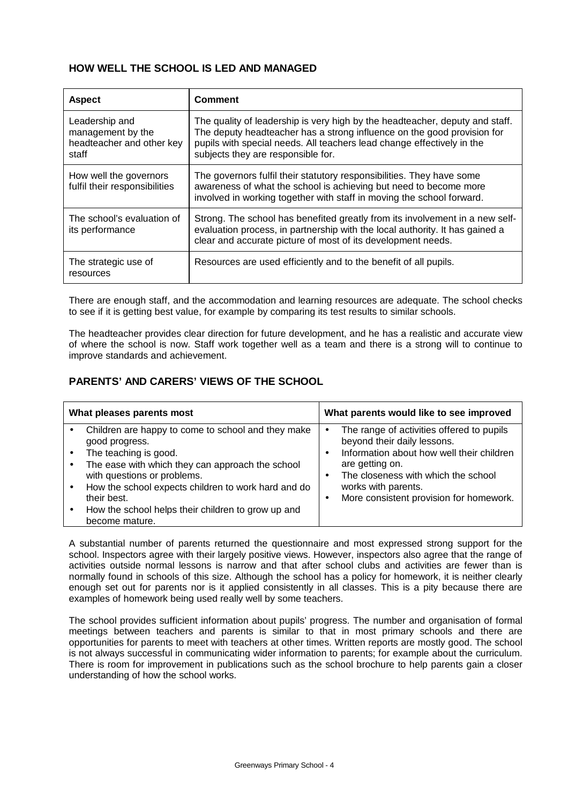# **HOW WELL THE SCHOOL IS LED AND MANAGED**

| <b>Aspect</b>                                                             | <b>Comment</b>                                                                                                                                                                                                                                                          |
|---------------------------------------------------------------------------|-------------------------------------------------------------------------------------------------------------------------------------------------------------------------------------------------------------------------------------------------------------------------|
| Leadership and<br>management by the<br>headteacher and other key<br>staff | The quality of leadership is very high by the headteacher, deputy and staff.<br>The deputy headteacher has a strong influence on the good provision for<br>pupils with special needs. All teachers lead change effectively in the<br>subjects they are responsible for. |
| How well the governors<br>fulfil their responsibilities                   | The governors fulfil their statutory responsibilities. They have some<br>awareness of what the school is achieving but need to become more<br>involved in working together with staff in moving the school forward.                                                     |
| The school's evaluation of<br>its performance                             | Strong. The school has benefited greatly from its involvement in a new self-<br>evaluation process, in partnership with the local authority. It has gained a<br>clear and accurate picture of most of its development needs.                                            |
| The strategic use of<br>resources                                         | Resources are used efficiently and to the benefit of all pupils.                                                                                                                                                                                                        |

There are enough staff, and the accommodation and learning resources are adequate. The school checks to see if it is getting best value, for example by comparing its test results to similar schools.

The headteacher provides clear direction for future development, and he has a realistic and accurate view of where the school is now. Staff work together well as a team and there is a strong will to continue to improve standards and achievement.

# **PARENTS' AND CARERS' VIEWS OF THE SCHOOL**

| What pleases parents most                                                                     | What parents would like to see improved                                                                               |
|-----------------------------------------------------------------------------------------------|-----------------------------------------------------------------------------------------------------------------------|
| Children are happy to come to school and they make<br>good progress.<br>The teaching is good. | The range of activities offered to pupils<br>beyond their daily lessons.<br>Information about how well their children |
| The ease with which they can approach the school<br>with questions or problems.               | are getting on.<br>The closeness with which the school                                                                |
| How the school expects children to work hard and do<br>their best.                            | works with parents.<br>More consistent provision for homework.                                                        |
| How the school helps their children to grow up and<br>become mature.                          |                                                                                                                       |

A substantial number of parents returned the questionnaire and most expressed strong support for the school. Inspectors agree with their largely positive views. However, inspectors also agree that the range of activities outside normal lessons is narrow and that after school clubs and activities are fewer than is normally found in schools of this size. Although the school has a policy for homework, it is neither clearly enough set out for parents nor is it applied consistently in all classes. This is a pity because there are examples of homework being used really well by some teachers.

The school provides sufficient information about pupils' progress. The number and organisation of formal meetings between teachers and parents is similar to that in most primary schools and there are opportunities for parents to meet with teachers at other times. Written reports are mostly good. The school is not always successful in communicating wider information to parents; for example about the curriculum. There is room for improvement in publications such as the school brochure to help parents gain a closer understanding of how the school works.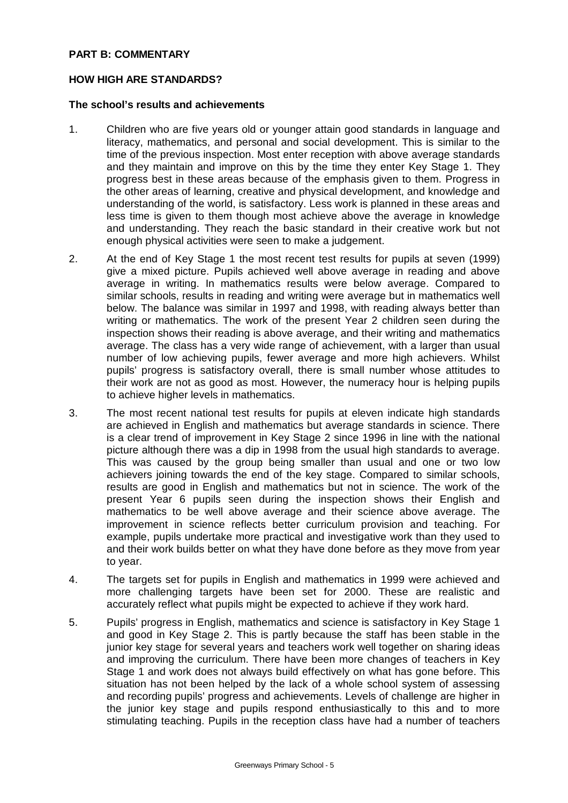# **PART B: COMMENTARY**

# **HOW HIGH ARE STANDARDS?**

# **The school's results and achievements**

- 1. Children who are five years old or younger attain good standards in language and literacy, mathematics, and personal and social development. This is similar to the time of the previous inspection. Most enter reception with above average standards and they maintain and improve on this by the time they enter Key Stage 1. They progress best in these areas because of the emphasis given to them. Progress in the other areas of learning, creative and physical development, and knowledge and understanding of the world, is satisfactory. Less work is planned in these areas and less time is given to them though most achieve above the average in knowledge and understanding. They reach the basic standard in their creative work but not enough physical activities were seen to make a judgement.
- 2. At the end of Key Stage 1 the most recent test results for pupils at seven (1999) give a mixed picture. Pupils achieved well above average in reading and above average in writing. In mathematics results were below average. Compared to similar schools, results in reading and writing were average but in mathematics well below. The balance was similar in 1997 and 1998, with reading always better than writing or mathematics. The work of the present Year 2 children seen during the inspection shows their reading is above average, and their writing and mathematics average. The class has a very wide range of achievement, with a larger than usual number of low achieving pupils, fewer average and more high achievers. Whilst pupils' progress is satisfactory overall, there is small number whose attitudes to their work are not as good as most. However, the numeracy hour is helping pupils to achieve higher levels in mathematics.
- 3. The most recent national test results for pupils at eleven indicate high standards are achieved in English and mathematics but average standards in science. There is a clear trend of improvement in Key Stage 2 since 1996 in line with the national picture although there was a dip in 1998 from the usual high standards to average. This was caused by the group being smaller than usual and one or two low achievers joining towards the end of the key stage. Compared to similar schools, results are good in English and mathematics but not in science. The work of the present Year 6 pupils seen during the inspection shows their English and mathematics to be well above average and their science above average. The improvement in science reflects better curriculum provision and teaching. For example, pupils undertake more practical and investigative work than they used to and their work builds better on what they have done before as they move from year to year.
- 4. The targets set for pupils in English and mathematics in 1999 were achieved and more challenging targets have been set for 2000. These are realistic and accurately reflect what pupils might be expected to achieve if they work hard.
- 5. Pupils' progress in English, mathematics and science is satisfactory in Key Stage 1 and good in Key Stage 2. This is partly because the staff has been stable in the junior key stage for several years and teachers work well together on sharing ideas and improving the curriculum. There have been more changes of teachers in Key Stage 1 and work does not always build effectively on what has gone before. This situation has not been helped by the lack of a whole school system of assessing and recording pupils' progress and achievements. Levels of challenge are higher in the junior key stage and pupils respond enthusiastically to this and to more stimulating teaching. Pupils in the reception class have had a number of teachers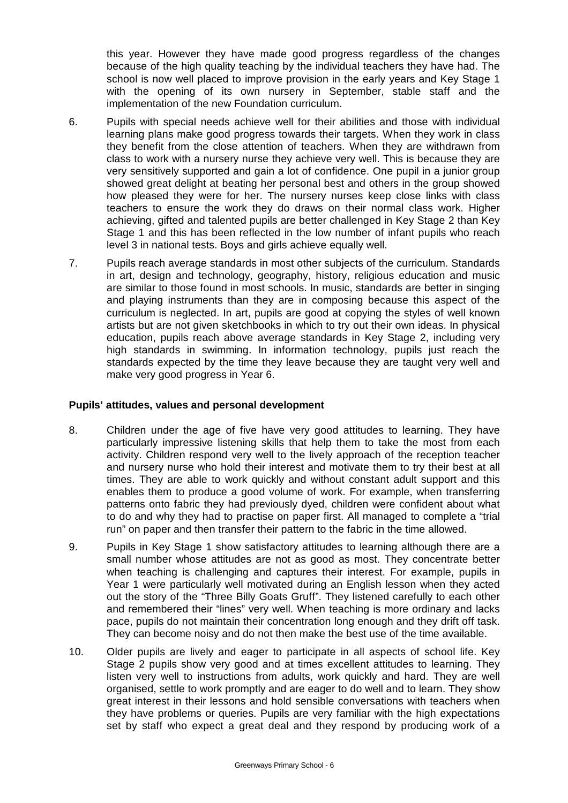this year. However they have made good progress regardless of the changes because of the high quality teaching by the individual teachers they have had. The school is now well placed to improve provision in the early years and Key Stage 1 with the opening of its own nursery in September, stable staff and the implementation of the new Foundation curriculum.

- 6. Pupils with special needs achieve well for their abilities and those with individual learning plans make good progress towards their targets. When they work in class they benefit from the close attention of teachers. When they are withdrawn from class to work with a nursery nurse they achieve very well. This is because they are very sensitively supported and gain a lot of confidence. One pupil in a junior group showed great delight at beating her personal best and others in the group showed how pleased they were for her. The nursery nurses keep close links with class teachers to ensure the work they do draws on their normal class work. Higher achieving, gifted and talented pupils are better challenged in Key Stage 2 than Key Stage 1 and this has been reflected in the low number of infant pupils who reach level 3 in national tests. Boys and girls achieve equally well.
- 7. Pupils reach average standards in most other subjects of the curriculum. Standards in art, design and technology, geography, history, religious education and music are similar to those found in most schools. In music, standards are better in singing and playing instruments than they are in composing because this aspect of the curriculum is neglected. In art, pupils are good at copying the styles of well known artists but are not given sketchbooks in which to try out their own ideas. In physical education, pupils reach above average standards in Key Stage 2, including very high standards in swimming. In information technology, pupils just reach the standards expected by the time they leave because they are taught very well and make very good progress in Year 6.

# **Pupils' attitudes, values and personal development**

- 8. Children under the age of five have very good attitudes to learning. They have particularly impressive listening skills that help them to take the most from each activity. Children respond very well to the lively approach of the reception teacher and nursery nurse who hold their interest and motivate them to try their best at all times. They are able to work quickly and without constant adult support and this enables them to produce a good volume of work. For example, when transferring patterns onto fabric they had previously dyed, children were confident about what to do and why they had to practise on paper first. All managed to complete a "trial run" on paper and then transfer their pattern to the fabric in the time allowed.
- 9. Pupils in Key Stage 1 show satisfactory attitudes to learning although there are a small number whose attitudes are not as good as most. They concentrate better when teaching is challenging and captures their interest. For example, pupils in Year 1 were particularly well motivated during an English lesson when they acted out the story of the "Three Billy Goats Gruff". They listened carefully to each other and remembered their "lines" very well. When teaching is more ordinary and lacks pace, pupils do not maintain their concentration long enough and they drift off task. They can become noisy and do not then make the best use of the time available.
- 10. Older pupils are lively and eager to participate in all aspects of school life. Key Stage 2 pupils show very good and at times excellent attitudes to learning. They listen very well to instructions from adults, work quickly and hard. They are well organised, settle to work promptly and are eager to do well and to learn. They show great interest in their lessons and hold sensible conversations with teachers when they have problems or queries. Pupils are very familiar with the high expectations set by staff who expect a great deal and they respond by producing work of a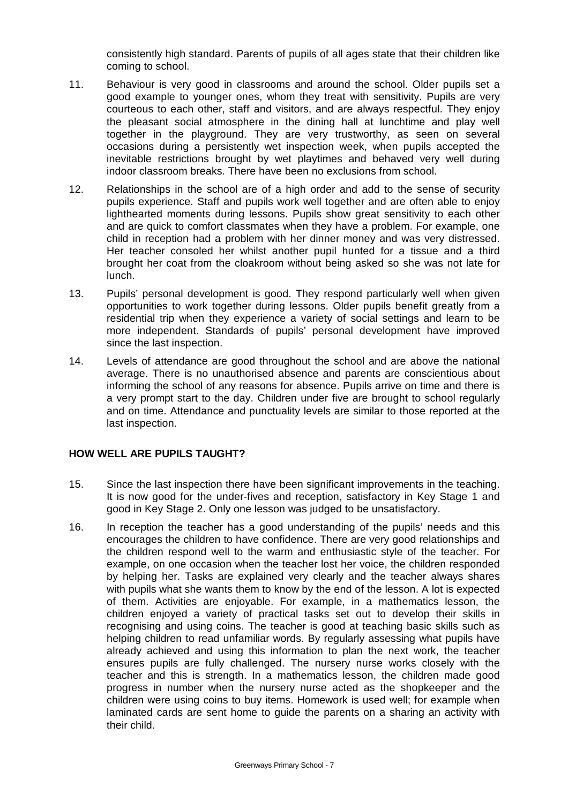consistently high standard. Parents of pupils of all ages state that their children like coming to school.

- 11. Behaviour is very good in classrooms and around the school. Older pupils set a good example to younger ones, whom they treat with sensitivity. Pupils are very courteous to each other, staff and visitors, and are always respectful. They enjoy the pleasant social atmosphere in the dining hall at lunchtime and play well together in the playground. They are very trustworthy, as seen on several occasions during a persistently wet inspection week, when pupils accepted the inevitable restrictions brought by wet playtimes and behaved very well during indoor classroom breaks. There have been no exclusions from school.
- 12. Relationships in the school are of a high order and add to the sense of security pupils experience. Staff and pupils work well together and are often able to enjoy lighthearted moments during lessons. Pupils show great sensitivity to each other and are quick to comfort classmates when they have a problem. For example, one child in reception had a problem with her dinner money and was very distressed. Her teacher consoled her whilst another pupil hunted for a tissue and a third brought her coat from the cloakroom without being asked so she was not late for lunch.
- 13. Pupils' personal development is good. They respond particularly well when given opportunities to work together during lessons. Older pupils benefit greatly from a residential trip when they experience a variety of social settings and learn to be more independent. Standards of pupils' personal development have improved since the last inspection.
- 14. Levels of attendance are good throughout the school and are above the national average. There is no unauthorised absence and parents are conscientious about informing the school of any reasons for absence. Pupils arrive on time and there is a very prompt start to the day. Children under five are brought to school regularly and on time. Attendance and punctuality levels are similar to those reported at the last inspection.

# **HOW WELL ARE PUPILS TAUGHT?**

- 15. Since the last inspection there have been significant improvements in the teaching. It is now good for the under-fives and reception, satisfactory in Key Stage 1 and good in Key Stage 2. Only one lesson was judged to be unsatisfactory.
- 16. In reception the teacher has a good understanding of the pupils' needs and this encourages the children to have confidence. There are very good relationships and the children respond well to the warm and enthusiastic style of the teacher. For example, on one occasion when the teacher lost her voice, the children responded by helping her. Tasks are explained very clearly and the teacher always shares with pupils what she wants them to know by the end of the lesson. A lot is expected of them. Activities are enjoyable. For example, in a mathematics lesson, the children enjoyed a variety of practical tasks set out to develop their skills in recognising and using coins. The teacher is good at teaching basic skills such as helping children to read unfamiliar words. By regularly assessing what pupils have already achieved and using this information to plan the next work, the teacher ensures pupils are fully challenged. The nursery nurse works closely with the teacher and this is strength. In a mathematics lesson, the children made good progress in number when the nursery nurse acted as the shopkeeper and the children were using coins to buy items. Homework is used well; for example when laminated cards are sent home to guide the parents on a sharing an activity with their child.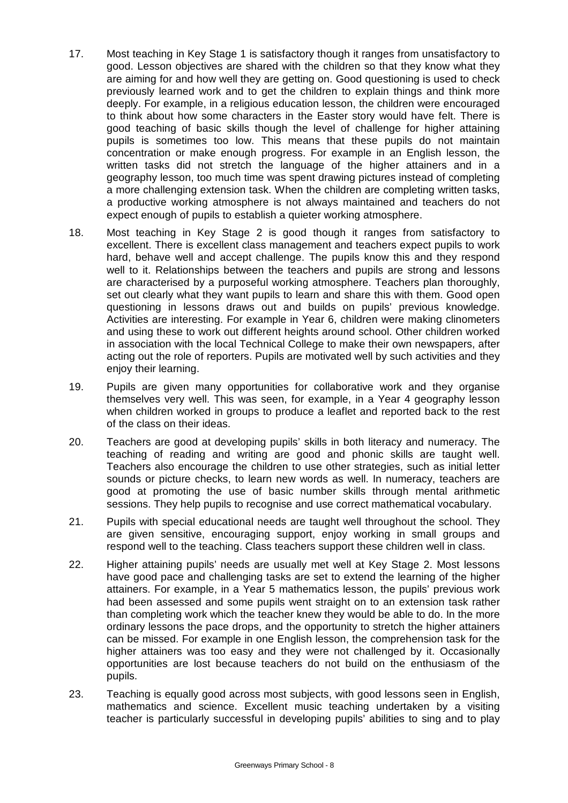- 17. Most teaching in Key Stage 1 is satisfactory though it ranges from unsatisfactory to good. Lesson objectives are shared with the children so that they know what they are aiming for and how well they are getting on. Good questioning is used to check previously learned work and to get the children to explain things and think more deeply. For example, in a religious education lesson, the children were encouraged to think about how some characters in the Easter story would have felt. There is good teaching of basic skills though the level of challenge for higher attaining pupils is sometimes too low. This means that these pupils do not maintain concentration or make enough progress. For example in an English lesson, the written tasks did not stretch the language of the higher attainers and in a geography lesson, too much time was spent drawing pictures instead of completing a more challenging extension task. When the children are completing written tasks, a productive working atmosphere is not always maintained and teachers do not expect enough of pupils to establish a quieter working atmosphere.
- 18. Most teaching in Key Stage 2 is good though it ranges from satisfactory to excellent. There is excellent class management and teachers expect pupils to work hard, behave well and accept challenge. The pupils know this and they respond well to it. Relationships between the teachers and pupils are strong and lessons are characterised by a purposeful working atmosphere. Teachers plan thoroughly, set out clearly what they want pupils to learn and share this with them. Good open questioning in lessons draws out and builds on pupils' previous knowledge. Activities are interesting. For example in Year 6, children were making clinometers and using these to work out different heights around school. Other children worked in association with the local Technical College to make their own newspapers, after acting out the role of reporters. Pupils are motivated well by such activities and they enjoy their learning.
- 19. Pupils are given many opportunities for collaborative work and they organise themselves very well. This was seen, for example, in a Year 4 geography lesson when children worked in groups to produce a leaflet and reported back to the rest of the class on their ideas.
- 20. Teachers are good at developing pupils' skills in both literacy and numeracy. The teaching of reading and writing are good and phonic skills are taught well. Teachers also encourage the children to use other strategies, such as initial letter sounds or picture checks, to learn new words as well. In numeracy, teachers are good at promoting the use of basic number skills through mental arithmetic sessions. They help pupils to recognise and use correct mathematical vocabulary.
- 21. Pupils with special educational needs are taught well throughout the school. They are given sensitive, encouraging support, enjoy working in small groups and respond well to the teaching. Class teachers support these children well in class.
- 22. Higher attaining pupils' needs are usually met well at Key Stage 2. Most lessons have good pace and challenging tasks are set to extend the learning of the higher attainers. For example, in a Year 5 mathematics lesson, the pupils' previous work had been assessed and some pupils went straight on to an extension task rather than completing work which the teacher knew they would be able to do. In the more ordinary lessons the pace drops, and the opportunity to stretch the higher attainers can be missed. For example in one English lesson, the comprehension task for the higher attainers was too easy and they were not challenged by it. Occasionally opportunities are lost because teachers do not build on the enthusiasm of the pupils.
- 23. Teaching is equally good across most subjects, with good lessons seen in English, mathematics and science. Excellent music teaching undertaken by a visiting teacher is particularly successful in developing pupils' abilities to sing and to play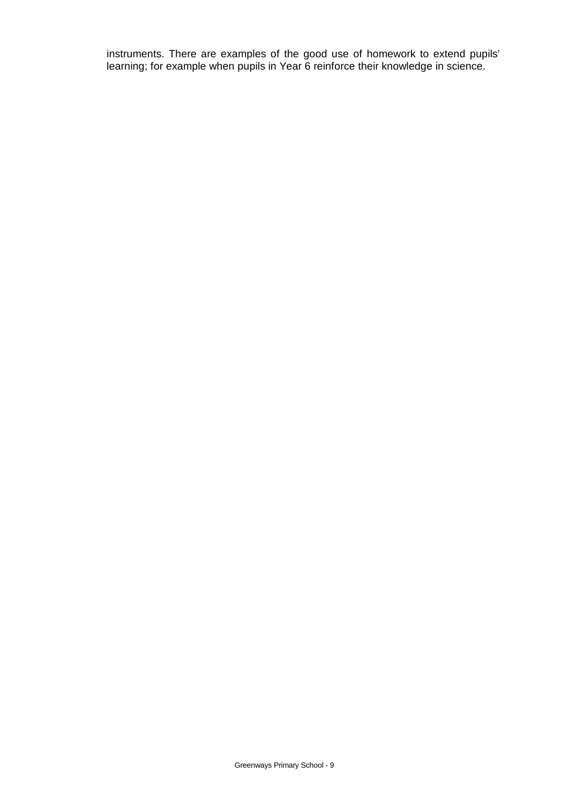instruments. There are examples of the good use of homework to extend pupils' learning; for example when pupils in Year 6 reinforce their knowledge in science.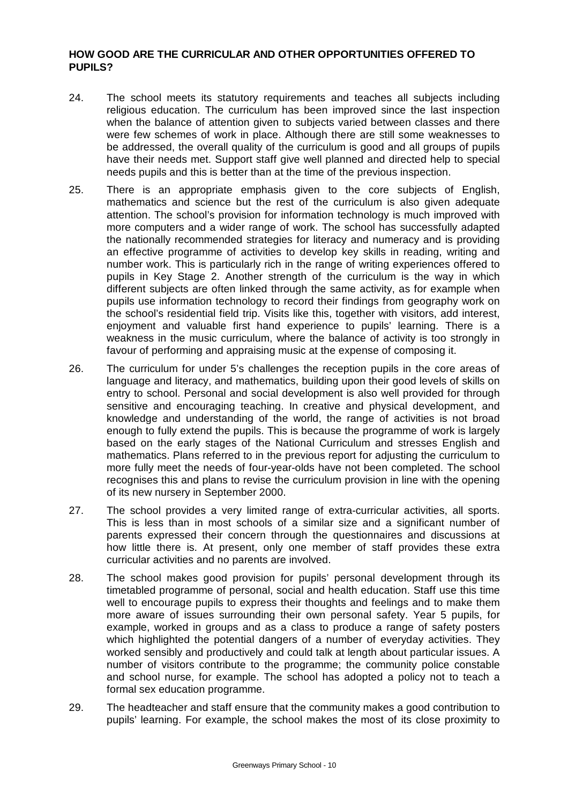# **HOW GOOD ARE THE CURRICULAR AND OTHER OPPORTUNITIES OFFERED TO PUPILS?**

- 24. The school meets its statutory requirements and teaches all subjects including religious education. The curriculum has been improved since the last inspection when the balance of attention given to subjects varied between classes and there were few schemes of work in place. Although there are still some weaknesses to be addressed, the overall quality of the curriculum is good and all groups of pupils have their needs met. Support staff give well planned and directed help to special needs pupils and this is better than at the time of the previous inspection.
- 25. There is an appropriate emphasis given to the core subjects of English, mathematics and science but the rest of the curriculum is also given adequate attention. The school's provision for information technology is much improved with more computers and a wider range of work. The school has successfully adapted the nationally recommended strategies for literacy and numeracy and is providing an effective programme of activities to develop key skills in reading, writing and number work. This is particularly rich in the range of writing experiences offered to pupils in Key Stage 2. Another strength of the curriculum is the way in which different subjects are often linked through the same activity, as for example when pupils use information technology to record their findings from geography work on the school's residential field trip. Visits like this, together with visitors, add interest, enjoyment and valuable first hand experience to pupils' learning. There is a weakness in the music curriculum, where the balance of activity is too strongly in favour of performing and appraising music at the expense of composing it.
- 26. The curriculum for under 5's challenges the reception pupils in the core areas of language and literacy, and mathematics, building upon their good levels of skills on entry to school. Personal and social development is also well provided for through sensitive and encouraging teaching. In creative and physical development, and knowledge and understanding of the world, the range of activities is not broad enough to fully extend the pupils. This is because the programme of work is largely based on the early stages of the National Curriculum and stresses English and mathematics. Plans referred to in the previous report for adjusting the curriculum to more fully meet the needs of four-year-olds have not been completed. The school recognises this and plans to revise the curriculum provision in line with the opening of its new nursery in September 2000.
- 27. The school provides a very limited range of extra-curricular activities, all sports. This is less than in most schools of a similar size and a significant number of parents expressed their concern through the questionnaires and discussions at how little there is. At present, only one member of staff provides these extra curricular activities and no parents are involved.
- 28. The school makes good provision for pupils' personal development through its timetabled programme of personal, social and health education. Staff use this time well to encourage pupils to express their thoughts and feelings and to make them more aware of issues surrounding their own personal safety. Year 5 pupils, for example, worked in groups and as a class to produce a range of safety posters which highlighted the potential dangers of a number of everyday activities. They worked sensibly and productively and could talk at length about particular issues. A number of visitors contribute to the programme; the community police constable and school nurse, for example. The school has adopted a policy not to teach a formal sex education programme.
- 29. The headteacher and staff ensure that the community makes a good contribution to pupils' learning. For example, the school makes the most of its close proximity to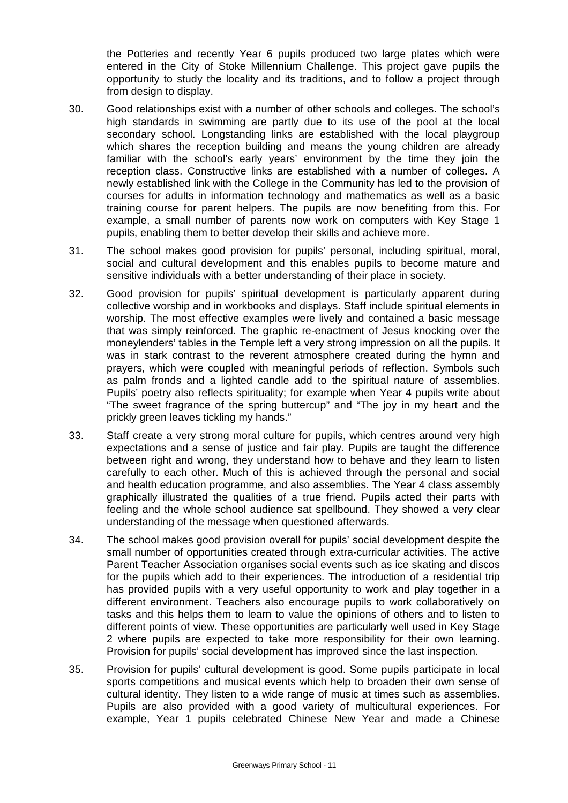the Potteries and recently Year 6 pupils produced two large plates which were entered in the City of Stoke Millennium Challenge. This project gave pupils the opportunity to study the locality and its traditions, and to follow a project through from design to display.

- 30. Good relationships exist with a number of other schools and colleges. The school's high standards in swimming are partly due to its use of the pool at the local secondary school. Longstanding links are established with the local playgroup which shares the reception building and means the young children are already familiar with the school's early years' environment by the time they join the reception class. Constructive links are established with a number of colleges. A newly established link with the College in the Community has led to the provision of courses for adults in information technology and mathematics as well as a basic training course for parent helpers. The pupils are now benefiting from this. For example, a small number of parents now work on computers with Key Stage 1 pupils, enabling them to better develop their skills and achieve more.
- 31. The school makes good provision for pupils' personal, including spiritual, moral, social and cultural development and this enables pupils to become mature and sensitive individuals with a better understanding of their place in society.
- 32. Good provision for pupils' spiritual development is particularly apparent during collective worship and in workbooks and displays. Staff include spiritual elements in worship. The most effective examples were lively and contained a basic message that was simply reinforced. The graphic re-enactment of Jesus knocking over the moneylenders' tables in the Temple left a very strong impression on all the pupils. It was in stark contrast to the reverent atmosphere created during the hymn and prayers, which were coupled with meaningful periods of reflection. Symbols such as palm fronds and a lighted candle add to the spiritual nature of assemblies. Pupils' poetry also reflects spirituality; for example when Year 4 pupils write about "The sweet fragrance of the spring buttercup" and "The joy in my heart and the prickly green leaves tickling my hands."
- 33. Staff create a very strong moral culture for pupils, which centres around very high expectations and a sense of justice and fair play. Pupils are taught the difference between right and wrong, they understand how to behave and they learn to listen carefully to each other. Much of this is achieved through the personal and social and health education programme, and also assemblies. The Year 4 class assembly graphically illustrated the qualities of a true friend. Pupils acted their parts with feeling and the whole school audience sat spellbound. They showed a very clear understanding of the message when questioned afterwards.
- 34. The school makes good provision overall for pupils' social development despite the small number of opportunities created through extra-curricular activities. The active Parent Teacher Association organises social events such as ice skating and discos for the pupils which add to their experiences. The introduction of a residential trip has provided pupils with a very useful opportunity to work and play together in a different environment. Teachers also encourage pupils to work collaboratively on tasks and this helps them to learn to value the opinions of others and to listen to different points of view. These opportunities are particularly well used in Key Stage 2 where pupils are expected to take more responsibility for their own learning. Provision for pupils' social development has improved since the last inspection.
- 35. Provision for pupils' cultural development is good. Some pupils participate in local sports competitions and musical events which help to broaden their own sense of cultural identity. They listen to a wide range of music at times such as assemblies. Pupils are also provided with a good variety of multicultural experiences. For example, Year 1 pupils celebrated Chinese New Year and made a Chinese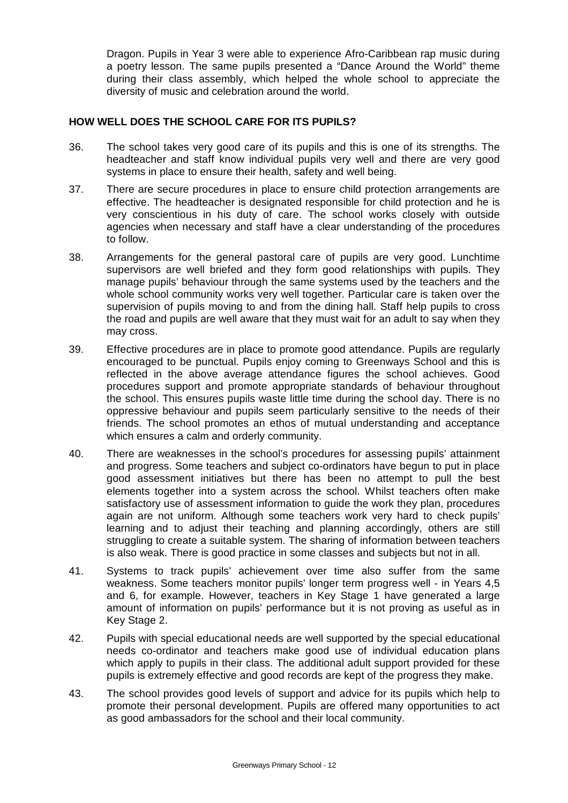Dragon. Pupils in Year 3 were able to experience Afro-Caribbean rap music during a poetry lesson. The same pupils presented a "Dance Around the World" theme during their class assembly, which helped the whole school to appreciate the diversity of music and celebration around the world.

# **HOW WELL DOES THE SCHOOL CARE FOR ITS PUPILS?**

- 36. The school takes very good care of its pupils and this is one of its strengths. The headteacher and staff know individual pupils very well and there are very good systems in place to ensure their health, safety and well being.
- 37. There are secure procedures in place to ensure child protection arrangements are effective. The headteacher is designated responsible for child protection and he is very conscientious in his duty of care. The school works closely with outside agencies when necessary and staff have a clear understanding of the procedures to follow.
- 38. Arrangements for the general pastoral care of pupils are very good. Lunchtime supervisors are well briefed and they form good relationships with pupils. They manage pupils' behaviour through the same systems used by the teachers and the whole school community works very well together. Particular care is taken over the supervision of pupils moving to and from the dining hall. Staff help pupils to cross the road and pupils are well aware that they must wait for an adult to say when they may cross.
- 39. Effective procedures are in place to promote good attendance. Pupils are regularly encouraged to be punctual. Pupils enjoy coming to Greenways School and this is reflected in the above average attendance figures the school achieves. Good procedures support and promote appropriate standards of behaviour throughout the school. This ensures pupils waste little time during the school day. There is no oppressive behaviour and pupils seem particularly sensitive to the needs of their friends. The school promotes an ethos of mutual understanding and acceptance which ensures a calm and orderly community.
- 40. There are weaknesses in the school's procedures for assessing pupils' attainment and progress. Some teachers and subject co-ordinators have begun to put in place good assessment initiatives but there has been no attempt to pull the best elements together into a system across the school. Whilst teachers often make satisfactory use of assessment information to guide the work they plan, procedures again are not uniform. Although some teachers work very hard to check pupils' learning and to adjust their teaching and planning accordingly, others are still struggling to create a suitable system. The sharing of information between teachers is also weak. There is good practice in some classes and subjects but not in all.
- 41. Systems to track pupils' achievement over time also suffer from the same weakness. Some teachers monitor pupils' longer term progress well - in Years 4,5 and 6, for example. However, teachers in Key Stage 1 have generated a large amount of information on pupils' performance but it is not proving as useful as in Key Stage 2.
- 42. Pupils with special educational needs are well supported by the special educational needs co-ordinator and teachers make good use of individual education plans which apply to pupils in their class. The additional adult support provided for these pupils is extremely effective and good records are kept of the progress they make.
- 43. The school provides good levels of support and advice for its pupils which help to promote their personal development. Pupils are offered many opportunities to act as good ambassadors for the school and their local community.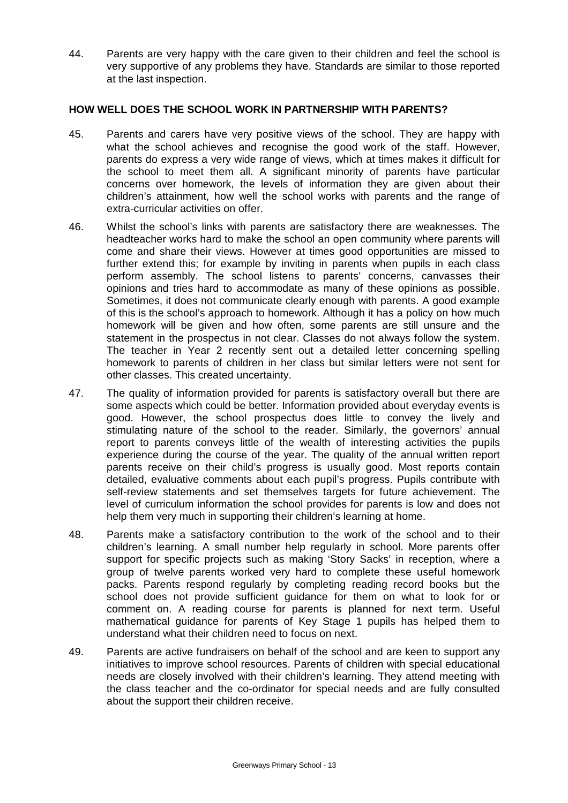44. Parents are very happy with the care given to their children and feel the school is very supportive of any problems they have. Standards are similar to those reported at the last inspection.

# **HOW WELL DOES THE SCHOOL WORK IN PARTNERSHIP WITH PARENTS?**

- 45. Parents and carers have very positive views of the school. They are happy with what the school achieves and recognise the good work of the staff. However, parents do express a very wide range of views, which at times makes it difficult for the school to meet them all. A significant minority of parents have particular concerns over homework, the levels of information they are given about their children's attainment, how well the school works with parents and the range of extra-curricular activities on offer.
- 46. Whilst the school's links with parents are satisfactory there are weaknesses. The headteacher works hard to make the school an open community where parents will come and share their views. However at times good opportunities are missed to further extend this; for example by inviting in parents when pupils in each class perform assembly. The school listens to parents' concerns, canvasses their opinions and tries hard to accommodate as many of these opinions as possible. Sometimes, it does not communicate clearly enough with parents. A good example of this is the school's approach to homework. Although it has a policy on how much homework will be given and how often, some parents are still unsure and the statement in the prospectus in not clear. Classes do not always follow the system. The teacher in Year 2 recently sent out a detailed letter concerning spelling homework to parents of children in her class but similar letters were not sent for other classes. This created uncertainty.
- 47. The quality of information provided for parents is satisfactory overall but there are some aspects which could be better. Information provided about everyday events is good. However, the school prospectus does little to convey the lively and stimulating nature of the school to the reader. Similarly, the governors' annual report to parents conveys little of the wealth of interesting activities the pupils experience during the course of the year. The quality of the annual written report parents receive on their child's progress is usually good. Most reports contain detailed, evaluative comments about each pupil's progress. Pupils contribute with self-review statements and set themselves targets for future achievement. The level of curriculum information the school provides for parents is low and does not help them very much in supporting their children's learning at home.
- 48. Parents make a satisfactory contribution to the work of the school and to their children's learning. A small number help regularly in school. More parents offer support for specific projects such as making 'Story Sacks' in reception, where a group of twelve parents worked very hard to complete these useful homework packs. Parents respond regularly by completing reading record books but the school does not provide sufficient guidance for them on what to look for or comment on. A reading course for parents is planned for next term. Useful mathematical guidance for parents of Key Stage 1 pupils has helped them to understand what their children need to focus on next.
- 49. Parents are active fundraisers on behalf of the school and are keen to support any initiatives to improve school resources. Parents of children with special educational needs are closely involved with their children's learning. They attend meeting with the class teacher and the co-ordinator for special needs and are fully consulted about the support their children receive.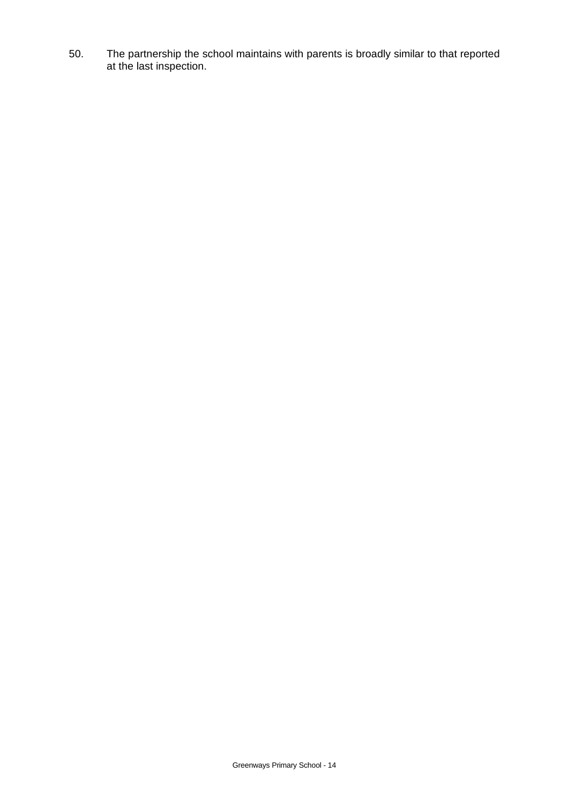50. The partnership the school maintains with parents is broadly similar to that reported at the last inspection.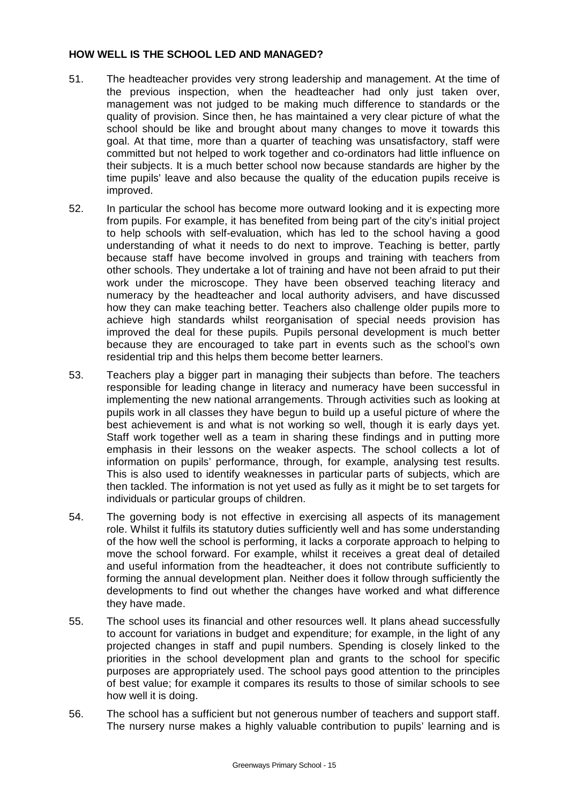# **HOW WELL IS THE SCHOOL LED AND MANAGED?**

- 51. The headteacher provides very strong leadership and management. At the time of the previous inspection, when the headteacher had only just taken over, management was not judged to be making much difference to standards or the quality of provision. Since then, he has maintained a very clear picture of what the school should be like and brought about many changes to move it towards this goal. At that time, more than a quarter of teaching was unsatisfactory, staff were committed but not helped to work together and co-ordinators had little influence on their subjects. It is a much better school now because standards are higher by the time pupils' leave and also because the quality of the education pupils receive is improved.
- 52. In particular the school has become more outward looking and it is expecting more from pupils. For example, it has benefited from being part of the city's initial project to help schools with self-evaluation, which has led to the school having a good understanding of what it needs to do next to improve. Teaching is better, partly because staff have become involved in groups and training with teachers from other schools. They undertake a lot of training and have not been afraid to put their work under the microscope. They have been observed teaching literacy and numeracy by the headteacher and local authority advisers, and have discussed how they can make teaching better. Teachers also challenge older pupils more to achieve high standards whilst reorganisation of special needs provision has improved the deal for these pupils*.* Pupils personal development is much better because they are encouraged to take part in events such as the school's own residential trip and this helps them become better learners.
- 53. Teachers play a bigger part in managing their subjects than before. The teachers responsible for leading change in literacy and numeracy have been successful in implementing the new national arrangements. Through activities such as looking at pupils work in all classes they have begun to build up a useful picture of where the best achievement is and what is not working so well, though it is early days yet. Staff work together well as a team in sharing these findings and in putting more emphasis in their lessons on the weaker aspects. The school collects a lot of information on pupils' performance, through, for example, analysing test results. This is also used to identify weaknesses in particular parts of subjects, which are then tackled. The information is not yet used as fully as it might be to set targets for individuals or particular groups of children.
- 54. The governing body is not effective in exercising all aspects of its management role. Whilst it fulfils its statutory duties sufficiently well and has some understanding of the how well the school is performing, it lacks a corporate approach to helping to move the school forward. For example, whilst it receives a great deal of detailed and useful information from the headteacher, it does not contribute sufficiently to forming the annual development plan. Neither does it follow through sufficiently the developments to find out whether the changes have worked and what difference they have made.
- 55. The school uses its financial and other resources well. It plans ahead successfully to account for variations in budget and expenditure; for example, in the light of any projected changes in staff and pupil numbers. Spending is closely linked to the priorities in the school development plan and grants to the school for specific purposes are appropriately used. The school pays good attention to the principles of best value; for example it compares its results to those of similar schools to see how well it is doing.
- 56. The school has a sufficient but not generous number of teachers and support staff. The nursery nurse makes a highly valuable contribution to pupils' learning and is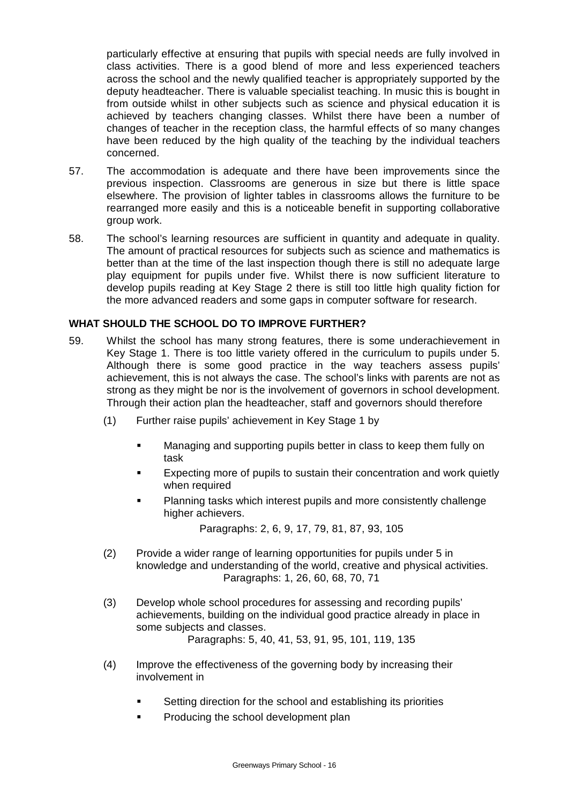particularly effective at ensuring that pupils with special needs are fully involved in class activities. There is a good blend of more and less experienced teachers across the school and the newly qualified teacher is appropriately supported by the deputy headteacher. There is valuable specialist teaching. In music this is bought in from outside whilst in other subjects such as science and physical education it is achieved by teachers changing classes. Whilst there have been a number of changes of teacher in the reception class, the harmful effects of so many changes have been reduced by the high quality of the teaching by the individual teachers concerned.

- 57. The accommodation is adequate and there have been improvements since the previous inspection. Classrooms are generous in size but there is little space elsewhere. The provision of lighter tables in classrooms allows the furniture to be rearranged more easily and this is a noticeable benefit in supporting collaborative group work.
- 58. The school's learning resources are sufficient in quantity and adequate in quality. The amount of practical resources for subjects such as science and mathematics is better than at the time of the last inspection though there is still no adequate large play equipment for pupils under five. Whilst there is now sufficient literature to develop pupils reading at Key Stage 2 there is still too little high quality fiction for the more advanced readers and some gaps in computer software for research.

# **WHAT SHOULD THE SCHOOL DO TO IMPROVE FURTHER?**

- 59. Whilst the school has many strong features, there is some underachievement in Key Stage 1. There is too little variety offered in the curriculum to pupils under 5. Although there is some good practice in the way teachers assess pupils' achievement, this is not always the case. The school's links with parents are not as strong as they might be nor is the involvement of governors in school development. Through their action plan the headteacher, staff and governors should therefore
	- (1) Further raise pupils' achievement in Key Stage 1 by
		- **EXEDENT Managing and supporting pupils better in class to keep them fully on** task
		- **Expecting more of pupils to sustain their concentration and work quietly** when required
		- ß Planning tasks which interest pupils and more consistently challenge higher achievers.

Paragraphs: 2, 6, 9, 17, 79, 81, 87, 93, 105

- (2) Provide a wider range of learning opportunities for pupils under 5 in knowledge and understanding of the world, creative and physical activities. Paragraphs: 1, 26, 60, 68, 70, 71
- (3) Develop whole school procedures for assessing and recording pupils' achievements, building on the individual good practice already in place in some subjects and classes.

Paragraphs: 5, 40, 41, 53, 91, 95, 101, 119, 135

- (4) Improve the effectiveness of the governing body by increasing their involvement in
	- ß Setting direction for the school and establishing its priorities
	- ß Producing the school development plan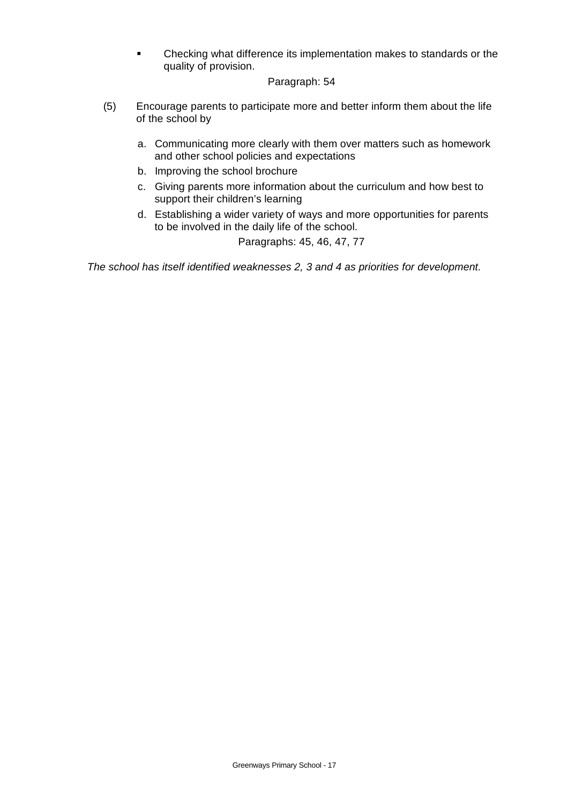• Checking what difference its implementation makes to standards or the quality of provision.

# Paragraph: 54

- (5) Encourage parents to participate more and better inform them about the life of the school by
	- a. Communicating more clearly with them over matters such as homework and other school policies and expectations
	- b. Improving the school brochure
	- c. Giving parents more information about the curriculum and how best to support their children's learning
	- d. Establishing a wider variety of ways and more opportunities for parents to be involved in the daily life of the school.

Paragraphs: 45, 46, 47, 77

*The school has itself identified weaknesses 2, 3 and 4 as priorities for development.*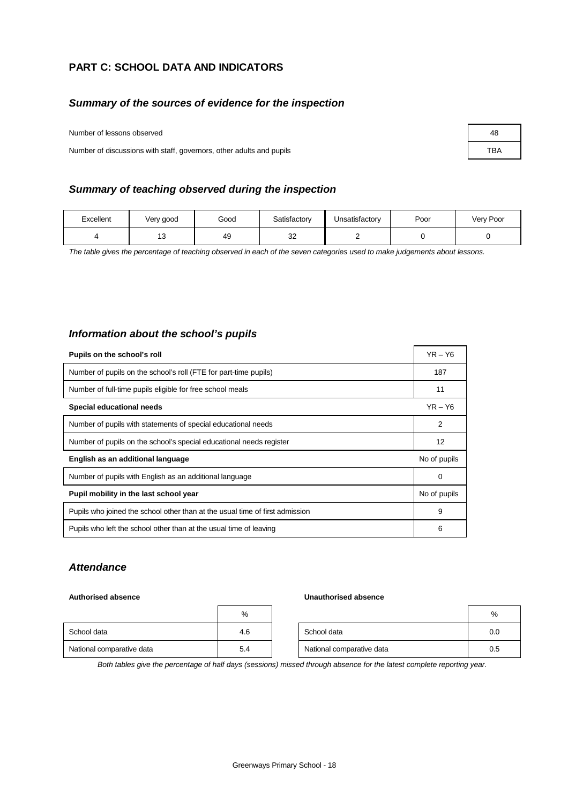# **PART C: SCHOOL DATA AND INDICATORS**

# *Summary of the sources of evidence for the inspection*

### Number of lessons observed **48** and the set of the set of the set of the set of the set of the set of the set of the set of the set of the set of the set of the set of the set of the set of the set of the set of the set of

Number of discussions with staff, governors, other adults and pupils **TBA** TBA

# *Summary of teaching observed during the inspection*

| Excellent | Very good | Good | Satisfactory  | Unsatisfactory | Poor | Very Poor |
|-----------|-----------|------|---------------|----------------|------|-----------|
|           | ָ<br>ں ו  | 49   | $\sim$<br>ັບ∠ |                |      |           |

*The table gives the percentage of teaching observed in each of the seven categories used to make judgements about lessons.*

# *Information about the school's pupils*

| Pupils on the school's roll                                                  | $YR - Y6$    |
|------------------------------------------------------------------------------|--------------|
| Number of pupils on the school's roll (FTE for part-time pupils)             | 187          |
| Number of full-time pupils eligible for free school meals                    | 11           |
| Special educational needs                                                    | $YR - Y6$    |
| Number of pupils with statements of special educational needs                | 2            |
| Number of pupils on the school's special educational needs register          | 12           |
| English as an additional language                                            | No of pupils |
| Number of pupils with English as an additional language                      | 0            |
| Pupil mobility in the last school year                                       | No of pupils |
| Pupils who joined the school other than at the usual time of first admission | 9            |
| Pupils who left the school other than at the usual time of leaving           | 6            |

### *Attendance*

### **Authorised absence Unauthorised absence**

|                           | %   |                           | %   |
|---------------------------|-----|---------------------------|-----|
| School data               | 4.6 | School data               | 0.0 |
| National comparative data | 5.4 | National comparative data | 0.5 |

*Both tables give the percentage of half days (sessions) missed through absence for the latest complete reporting year.*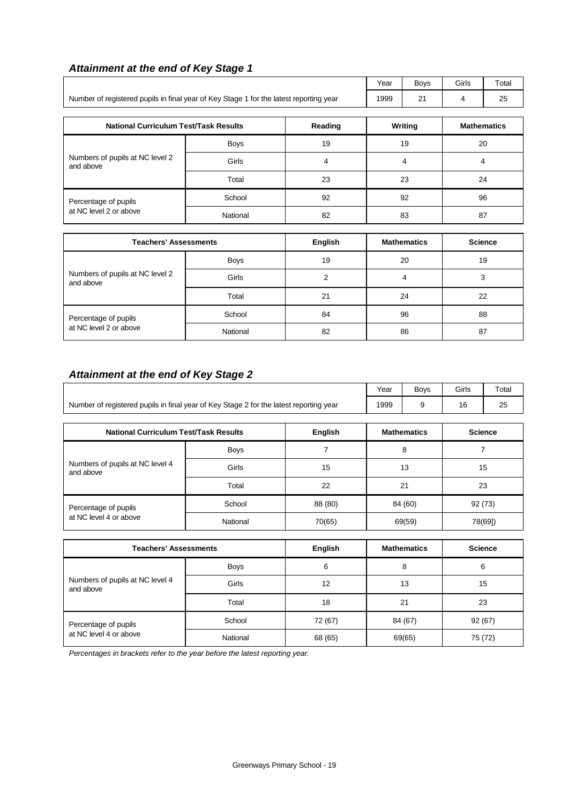# *Attainment at the end of Key Stage 1*

|                                                                                        |             |    | Year | <b>Boys</b> | Girls | Total              |
|----------------------------------------------------------------------------------------|-------------|----|------|-------------|-------|--------------------|
| Number of registered pupils in final year of Key Stage 1 for the latest reporting year |             |    |      | 21          | 4     | 25                 |
| <b>National Curriculum Test/Task Results</b><br>Reading                                |             |    |      | Writing     |       | <b>Mathematics</b> |
|                                                                                        | <b>Boys</b> | 19 | 19   |             | 20    |                    |
| Numbers of pupils at NC level 2<br>and above                                           | Girls       | 4  | 4    |             | 4     |                    |
|                                                                                        | Total       | 23 |      | 23          |       | 24                 |
| Percentage of pupils                                                                   | School      | 92 | 92   |             |       | 96                 |
| at NC level 2 or above                                                                 | National    | 82 |      | 83          | 87    |                    |

| <b>Teachers' Assessments</b>                 |             | <b>English</b> | <b>Mathematics</b> | <b>Science</b> |
|----------------------------------------------|-------------|----------------|--------------------|----------------|
|                                              | <b>Boys</b> | 19             | 20                 | 19             |
| Numbers of pupils at NC level 2<br>and above | Girls       | ⌒              |                    | 3              |
|                                              | Total       | 21             | 24                 | 22             |
| Percentage of pupils                         | School      | 84             | 96                 | 88             |
| at NC level 2 or above                       | National    | 82             | 86                 | 87             |

# *Attainment at the end of Key Stage 2*

|                                                                                        | Year        | <b>Boys</b>        | Girls   | Total          |    |         |
|----------------------------------------------------------------------------------------|-------------|--------------------|---------|----------------|----|---------|
| Number of registered pupils in final year of Key Stage 2 for the latest reporting year | 1999        | 9                  | 16      | 25             |    |         |
| <b>National Curriculum Test/Task Results</b>                                           |             | <b>Mathematics</b> |         | <b>Science</b> |    |         |
|                                                                                        | <b>Boys</b> |                    | 8       |                |    |         |
| Numbers of pupils at NC level 4<br>and above                                           | Girls       | 15                 | 13      |                | 15 |         |
|                                                                                        | Total       | 22                 | 21      |                | 23 |         |
| Percentage of pupils                                                                   | School      | 88 (80)            | 84 (60) |                |    | 92(73)  |
| at NC level 4 or above                                                                 | National    | 70(65)             |         | 69(59)         |    | 78(69]) |

| <b>Teachers' Assessments</b>                 |             | English | <b>Mathematics</b> | <b>Science</b> |
|----------------------------------------------|-------------|---------|--------------------|----------------|
|                                              | <b>Boys</b> | 6       | 8                  | 6              |
| Numbers of pupils at NC level 4<br>and above | Girls       | 12      | 13                 | 15             |
|                                              | Total       | 18      | 21                 | 23             |
| Percentage of pupils                         | School      | 72 (67) | 84 (67)            | 92(67)         |
| at NC level 4 or above                       | National    | 68 (65) | 69(65)             | 75 (72)        |

*Percentages in brackets refer to the year before the latest reporting year.*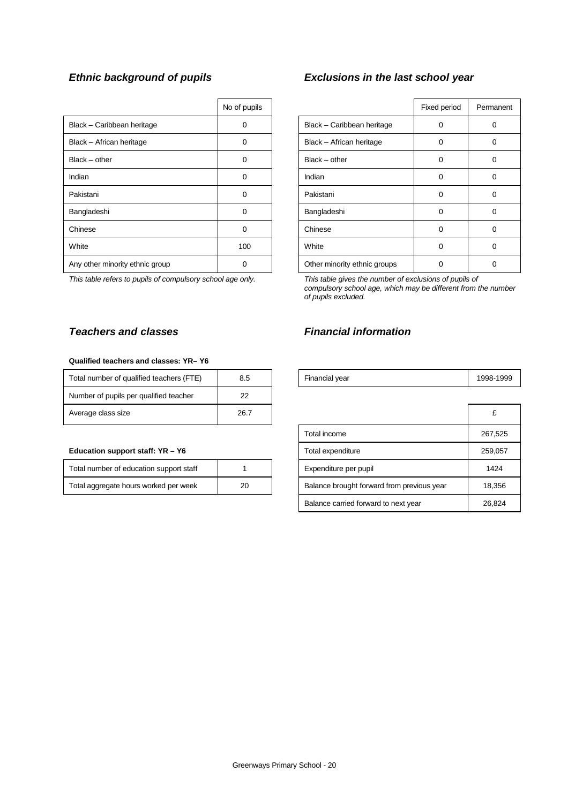|                                 | No of pupils |                              | Fixed period | Perma    |
|---------------------------------|--------------|------------------------------|--------------|----------|
| Black - Caribbean heritage      | 0            | Black - Caribbean heritage   | 0            | $\Omega$ |
| Black - African heritage        | $\Omega$     | Black - African heritage     | 0            | 0        |
| $Black - other$                 | $\Omega$     | $Black - other$              | 0            | 0        |
| Indian                          | $\Omega$     | Indian                       | 0            | $\Omega$ |
| Pakistani                       | 0            | Pakistani                    | $\Omega$     | $\Omega$ |
| Bangladeshi                     | 0            | Bangladeshi                  | $\Omega$     | $\Omega$ |
| Chinese                         | 0            | Chinese                      | 0            | $\Omega$ |
| White                           | 100          | White                        | 0            | $\Omega$ |
| Any other minority ethnic group | $\Omega$     | Other minority ethnic groups |              | $\Omega$ |

*This table refers to pupils of compulsory school age only. This table gives the number of exclusions of pupils of*

### **Qualified teachers and classes: YR– Y6**

| Total number of qualified teachers (FTE) | 8.5  | Financial year | 1998- |
|------------------------------------------|------|----------------|-------|
| Number of pupils per qualified teacher   | 22   |                |       |
| Average class size                       | 26.7 |                | £     |

### **Education support staff: YR - Y6**

| Total number of education support staff |    |
|-----------------------------------------|----|
| Total aggregate hours worked per week   | 20 |

# *Ethnic background of pupils Exclusions in the last school year*

| No of pupils |                              | Fixed period | Permanent |
|--------------|------------------------------|--------------|-----------|
| 0            | Black - Caribbean heritage   | ∩            | 0         |
| O            | Black - African heritage     | $\Omega$     | 0         |
| $\Omega$     | $Black - other$              | $\Omega$     | 0         |
| U            | Indian                       | $\Omega$     | 0         |
| 0            | Pakistani                    | ∩            | 0         |
| 0            | Bangladeshi                  | $\Omega$     | 0         |
| $\Omega$     | Chinese                      | $\Omega$     | 0         |
| 100          | White                        | $\Omega$     | 0         |
|              | Other minority ethnic groups |              | 0         |

*compulsory school age, which may be different from the number of pupils excluded.*

# *Teachers and classes Financial information*

| <br>(FTE<br>Total number of qualified teachers ( | ∪.⊾ | Financial vear | -1999<br>$998 -$ |
|--------------------------------------------------|-----|----------------|------------------|
|                                                  |     |                |                  |

| Average class size                      | 26.7 |                                            | £       |
|-----------------------------------------|------|--------------------------------------------|---------|
|                                         |      | Total income                               | 267,525 |
| Education support staff: YR – Y6        |      | Total expenditure                          | 259,057 |
| Total number of education support staff |      | Expenditure per pupil                      | 1424    |
| Total aggregate hours worked per week   | 20   | Balance brought forward from previous year | 18,356  |
|                                         |      | Balance carried forward to next year       | 26,824  |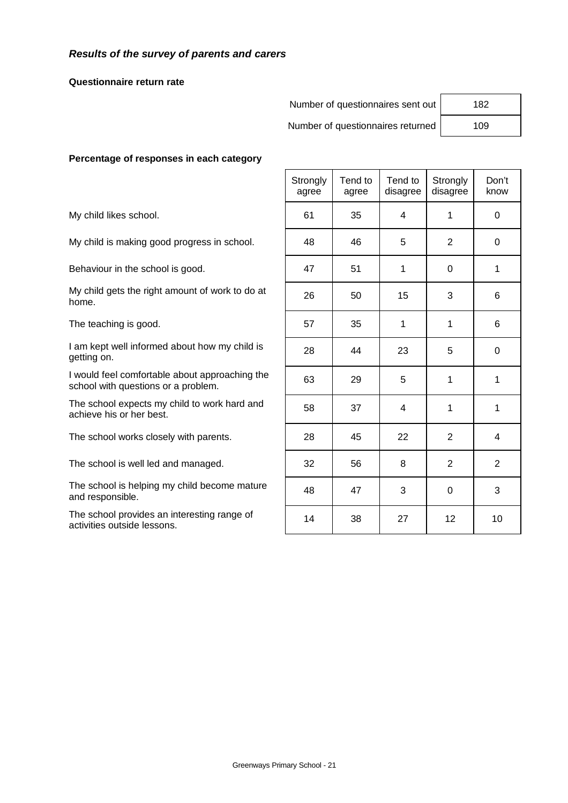# *Results of the survey of parents and carers*

### **Questionnaire return rate**

Number of questionnaires sent out | 182

Number of questionnaires returned | 109

# **Percentage of responses in each category**

|                                                                                       | Strongly<br>agree | Tend to<br>agree | Tend to<br>disagree | Strongly<br>disagree | Don't<br>know |
|---------------------------------------------------------------------------------------|-------------------|------------------|---------------------|----------------------|---------------|
| My child likes school.                                                                | 61                | 35               | 4                   | 1                    | $\Omega$      |
| My child is making good progress in school.                                           | 48                | 46               | 5                   | 2                    | 0             |
| Behaviour in the school is good.                                                      | 47                | 51               | 1                   | $\Omega$             | 1             |
| My child gets the right amount of work to do at<br>home.                              | 26                | 50               | 15                  | 3                    | 6             |
| The teaching is good.                                                                 | 57                | 35               | 1                   | 1                    | 6             |
| I am kept well informed about how my child is<br>getting on.                          | 28                | 44               | 23                  | 5                    | $\Omega$      |
| I would feel comfortable about approaching the<br>school with questions or a problem. | 63                | 29               | 5                   | 1                    | 1             |
| The school expects my child to work hard and<br>achieve his or her best.              | 58                | 37               | 4                   | 1                    | 1             |
| The school works closely with parents.                                                | 28                | 45               | 22                  | 2                    | 4             |
| The school is well led and managed.                                                   | 32                | 56               | 8                   | 2                    | 2             |
| The school is helping my child become mature<br>and responsible.                      | 48                | 47               | 3                   | $\mathbf 0$          | 3             |
| The school provides an interesting range of<br>activities outside lessons.            | 14                | 38               | 27                  | 12                   | 10            |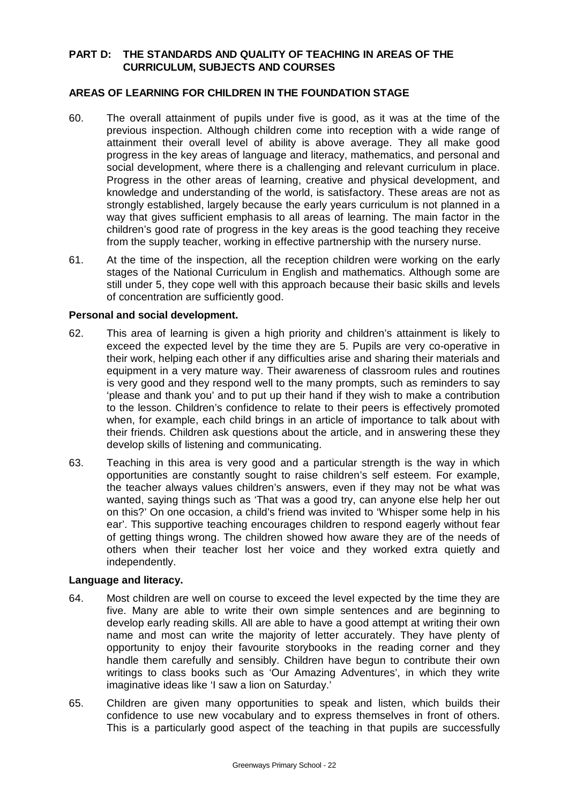# **PART D: THE STANDARDS AND QUALITY OF TEACHING IN AREAS OF THE CURRICULUM, SUBJECTS AND COURSES**

# **AREAS OF LEARNING FOR CHILDREN IN THE FOUNDATION STAGE**

- 60. The overall attainment of pupils under five is good, as it was at the time of the previous inspection. Although children come into reception with a wide range of attainment their overall level of ability is above average. They all make good progress in the key areas of language and literacy, mathematics, and personal and social development, where there is a challenging and relevant curriculum in place. Progress in the other areas of learning, creative and physical development, and knowledge and understanding of the world, is satisfactory. These areas are not as strongly established, largely because the early years curriculum is not planned in a way that gives sufficient emphasis to all areas of learning. The main factor in the children's good rate of progress in the key areas is the good teaching they receive from the supply teacher, working in effective partnership with the nursery nurse.
- 61. At the time of the inspection, all the reception children were working on the early stages of the National Curriculum in English and mathematics. Although some are still under 5, they cope well with this approach because their basic skills and levels of concentration are sufficiently good.

# **Personal and social development.**

- 62. This area of learning is given a high priority and children's attainment is likely to exceed the expected level by the time they are 5. Pupils are very co-operative in their work, helping each other if any difficulties arise and sharing their materials and equipment in a very mature way. Their awareness of classroom rules and routines is very good and they respond well to the many prompts, such as reminders to say 'please and thank you' and to put up their hand if they wish to make a contribution to the lesson. Children's confidence to relate to their peers is effectively promoted when, for example, each child brings in an article of importance to talk about with their friends. Children ask questions about the article, and in answering these they develop skills of listening and communicating.
- 63. Teaching in this area is very good and a particular strength is the way in which opportunities are constantly sought to raise children's self esteem. For example, the teacher always values children's answers, even if they may not be what was wanted, saying things such as 'That was a good try, can anyone else help her out on this?' On one occasion, a child's friend was invited to 'Whisper some help in his ear'. This supportive teaching encourages children to respond eagerly without fear of getting things wrong. The children showed how aware they are of the needs of others when their teacher lost her voice and they worked extra quietly and independently.

# **Language and literacy.**

- 64. Most children are well on course to exceed the level expected by the time they are five. Many are able to write their own simple sentences and are beginning to develop early reading skills. All are able to have a good attempt at writing their own name and most can write the majority of letter accurately. They have plenty of opportunity to enjoy their favourite storybooks in the reading corner and they handle them carefully and sensibly. Children have begun to contribute their own writings to class books such as 'Our Amazing Adventures', in which they write imaginative ideas like 'I saw a lion on Saturday.'
- 65. Children are given many opportunities to speak and listen, which builds their confidence to use new vocabulary and to express themselves in front of others. This is a particularly good aspect of the teaching in that pupils are successfully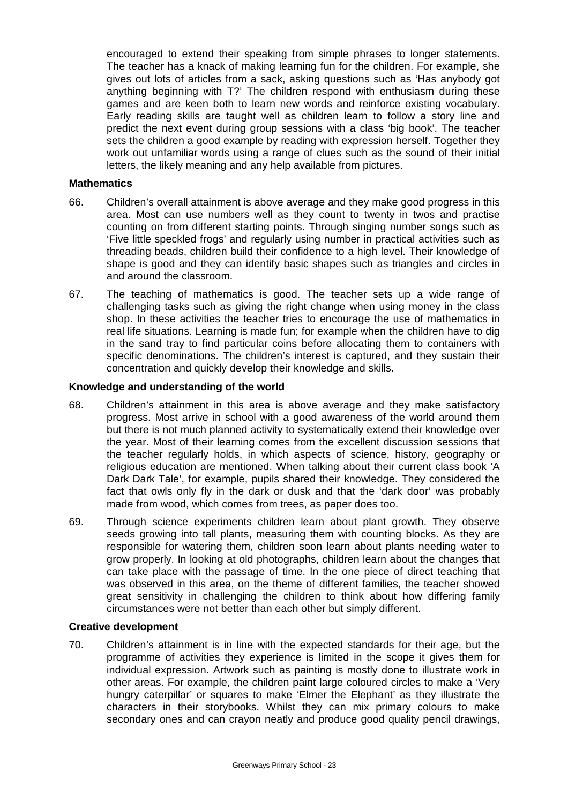encouraged to extend their speaking from simple phrases to longer statements. The teacher has a knack of making learning fun for the children. For example, she gives out lots of articles from a sack, asking questions such as 'Has anybody got anything beginning with T?' The children respond with enthusiasm during these games and are keen both to learn new words and reinforce existing vocabulary. Early reading skills are taught well as children learn to follow a story line and predict the next event during group sessions with a class 'big book'. The teacher sets the children a good example by reading with expression herself. Together they work out unfamiliar words using a range of clues such as the sound of their initial letters, the likely meaning and any help available from pictures.

# **Mathematics**

- 66. Children's overall attainment is above average and they make good progress in this area. Most can use numbers well as they count to twenty in twos and practise counting on from different starting points. Through singing number songs such as 'Five little speckled frogs' and regularly using number in practical activities such as threading beads, children build their confidence to a high level. Their knowledge of shape is good and they can identify basic shapes such as triangles and circles in and around the classroom.
- 67. The teaching of mathematics is good. The teacher sets up a wide range of challenging tasks such as giving the right change when using money in the class shop. In these activities the teacher tries to encourage the use of mathematics in real life situations. Learning is made fun; for example when the children have to dig in the sand tray to find particular coins before allocating them to containers with specific denominations. The children's interest is captured, and they sustain their concentration and quickly develop their knowledge and skills.

# **Knowledge and understanding of the world**

- 68. Children's attainment in this area is above average and they make satisfactory progress. Most arrive in school with a good awareness of the world around them but there is not much planned activity to systematically extend their knowledge over the year. Most of their learning comes from the excellent discussion sessions that the teacher regularly holds, in which aspects of science, history, geography or religious education are mentioned. When talking about their current class book 'A Dark Dark Tale', for example, pupils shared their knowledge. They considered the fact that owls only fly in the dark or dusk and that the 'dark door' was probably made from wood, which comes from trees, as paper does too.
- 69. Through science experiments children learn about plant growth. They observe seeds growing into tall plants, measuring them with counting blocks. As they are responsible for watering them, children soon learn about plants needing water to grow properly. In looking at old photographs, children learn about the changes that can take place with the passage of time. In the one piece of direct teaching that was observed in this area, on the theme of different families, the teacher showed great sensitivity in challenging the children to think about how differing family circumstances were not better than each other but simply different.

# **Creative development**

70. Children's attainment is in line with the expected standards for their age, but the programme of activities they experience is limited in the scope it gives them for individual expression. Artwork such as painting is mostly done to illustrate work in other areas. For example, the children paint large coloured circles to make a 'Very hungry caterpillar' or squares to make 'Elmer the Elephant' as they illustrate the characters in their storybooks. Whilst they can mix primary colours to make secondary ones and can crayon neatly and produce good quality pencil drawings,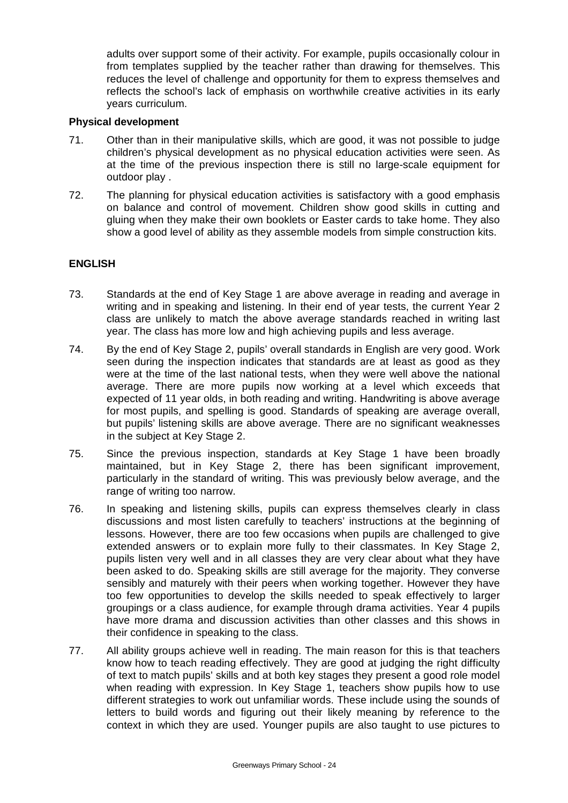adults over support some of their activity. For example, pupils occasionally colour in from templates supplied by the teacher rather than drawing for themselves. This reduces the level of challenge and opportunity for them to express themselves and reflects the school's lack of emphasis on worthwhile creative activities in its early years curriculum.

# **Physical development**

- 71. Other than in their manipulative skills, which are good, it was not possible to judge children's physical development as no physical education activities were seen. As at the time of the previous inspection there is still no large-scale equipment for outdoor play .
- 72. The planning for physical education activities is satisfactory with a good emphasis on balance and control of movement. Children show good skills in cutting and gluing when they make their own booklets or Easter cards to take home. They also show a good level of ability as they assemble models from simple construction kits.

# **ENGLISH**

- 73. Standards at the end of Key Stage 1 are above average in reading and average in writing and in speaking and listening. In their end of year tests, the current Year 2 class are unlikely to match the above average standards reached in writing last year. The class has more low and high achieving pupils and less average.
- 74. By the end of Key Stage 2, pupils' overall standards in English are very good. Work seen during the inspection indicates that standards are at least as good as they were at the time of the last national tests, when they were well above the national average. There are more pupils now working at a level which exceeds that expected of 11 year olds, in both reading and writing. Handwriting is above average for most pupils, and spelling is good. Standards of speaking are average overall, but pupils' listening skills are above average. There are no significant weaknesses in the subject at Key Stage 2.
- 75. Since the previous inspection, standards at Key Stage 1 have been broadly maintained, but in Key Stage 2, there has been significant improvement, particularly in the standard of writing. This was previously below average, and the range of writing too narrow.
- 76. In speaking and listening skills, pupils can express themselves clearly in class discussions and most listen carefully to teachers' instructions at the beginning of lessons. However, there are too few occasions when pupils are challenged to give extended answers or to explain more fully to their classmates. In Key Stage 2, pupils listen very well and in all classes they are very clear about what they have been asked to do. Speaking skills are still average for the majority. They converse sensibly and maturely with their peers when working together. However they have too few opportunities to develop the skills needed to speak effectively to larger groupings or a class audience, for example through drama activities. Year 4 pupils have more drama and discussion activities than other classes and this shows in their confidence in speaking to the class.
- 77. All ability groups achieve well in reading. The main reason for this is that teachers know how to teach reading effectively. They are good at judging the right difficulty of text to match pupils' skills and at both key stages they present a good role model when reading with expression. In Key Stage 1, teachers show pupils how to use different strategies to work out unfamiliar words. These include using the sounds of letters to build words and figuring out their likely meaning by reference to the context in which they are used. Younger pupils are also taught to use pictures to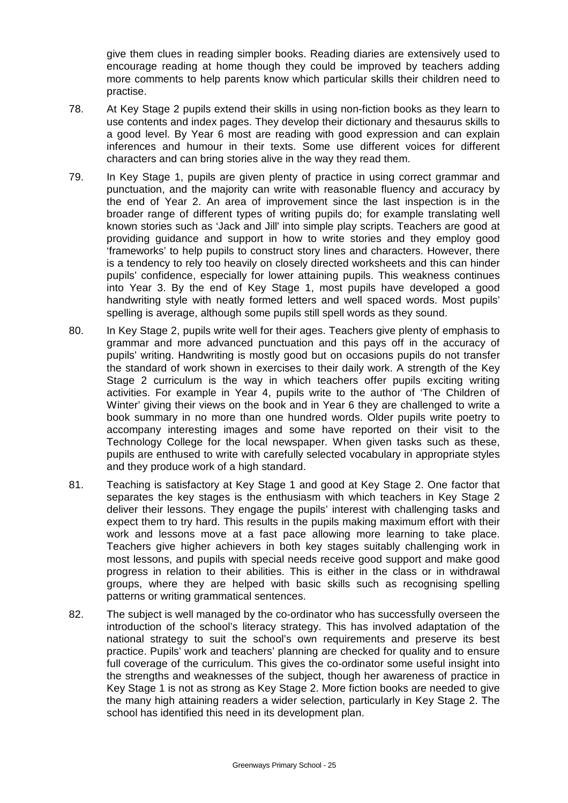give them clues in reading simpler books. Reading diaries are extensively used to encourage reading at home though they could be improved by teachers adding more comments to help parents know which particular skills their children need to practise.

- 78. At Key Stage 2 pupils extend their skills in using non-fiction books as they learn to use contents and index pages. They develop their dictionary and thesaurus skills to a good level. By Year 6 most are reading with good expression and can explain inferences and humour in their texts. Some use different voices for different characters and can bring stories alive in the way they read them.
- 79. In Key Stage 1, pupils are given plenty of practice in using correct grammar and punctuation, and the majority can write with reasonable fluency and accuracy by the end of Year 2. An area of improvement since the last inspection is in the broader range of different types of writing pupils do; for example translating well known stories such as 'Jack and Jill' into simple play scripts. Teachers are good at providing guidance and support in how to write stories and they employ good 'frameworks' to help pupils to construct story lines and characters. However, there is a tendency to rely too heavily on closely directed worksheets and this can hinder pupils' confidence, especially for lower attaining pupils. This weakness continues into Year 3. By the end of Key Stage 1, most pupils have developed a good handwriting style with neatly formed letters and well spaced words. Most pupils' spelling is average, although some pupils still spell words as they sound.
- 80. In Key Stage 2, pupils write well for their ages. Teachers give plenty of emphasis to grammar and more advanced punctuation and this pays off in the accuracy of pupils' writing. Handwriting is mostly good but on occasions pupils do not transfer the standard of work shown in exercises to their daily work. A strength of the Key Stage 2 curriculum is the way in which teachers offer pupils exciting writing activities. For example in Year 4, pupils write to the author of 'The Children of Winter' giving their views on the book and in Year 6 they are challenged to write a book summary in no more than one hundred words. Older pupils write poetry to accompany interesting images and some have reported on their visit to the Technology College for the local newspaper. When given tasks such as these, pupils are enthused to write with carefully selected vocabulary in appropriate styles and they produce work of a high standard.
- 81. Teaching is satisfactory at Key Stage 1 and good at Key Stage 2. One factor that separates the key stages is the enthusiasm with which teachers in Key Stage 2 deliver their lessons. They engage the pupils' interest with challenging tasks and expect them to try hard. This results in the pupils making maximum effort with their work and lessons move at a fast pace allowing more learning to take place. Teachers give higher achievers in both key stages suitably challenging work in most lessons, and pupils with special needs receive good support and make good progress in relation to their abilities. This is either in the class or in withdrawal groups, where they are helped with basic skills such as recognising spelling patterns or writing grammatical sentences.
- 82. The subject is well managed by the co-ordinator who has successfully overseen the introduction of the school's literacy strategy. This has involved adaptation of the national strategy to suit the school's own requirements and preserve its best practice. Pupils' work and teachers' planning are checked for quality and to ensure full coverage of the curriculum. This gives the co-ordinator some useful insight into the strengths and weaknesses of the subject, though her awareness of practice in Key Stage 1 is not as strong as Key Stage 2. More fiction books are needed to give the many high attaining readers a wider selection, particularly in Key Stage 2. The school has identified this need in its development plan.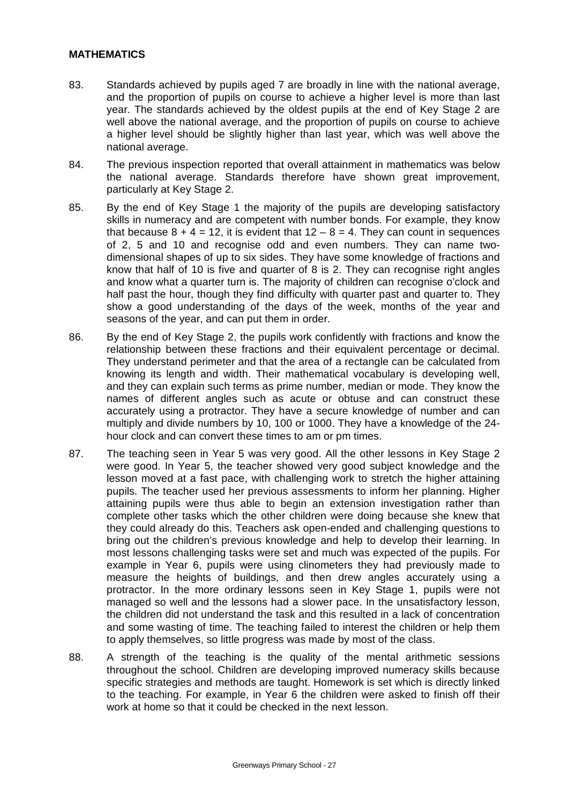# **MATHEMATICS**

- 83. Standards achieved by pupils aged 7 are broadly in line with the national average, and the proportion of pupils on course to achieve a higher level is more than last year. The standards achieved by the oldest pupils at the end of Key Stage 2 are well above the national average, and the proportion of pupils on course to achieve a higher level should be slightly higher than last year, which was well above the national average.
- 84. The previous inspection reported that overall attainment in mathematics was below the national average. Standards therefore have shown great improvement, particularly at Key Stage 2.
- 85. By the end of Key Stage 1 the majority of the pupils are developing satisfactory skills in numeracy and are competent with number bonds. For example, they know that because  $8 + 4 = 12$ , it is evident that  $12 - 8 = 4$ . They can count in sequences of 2, 5 and 10 and recognise odd and even numbers. They can name twodimensional shapes of up to six sides. They have some knowledge of fractions and know that half of 10 is five and quarter of 8 is 2. They can recognise right angles and know what a quarter turn is. The majority of children can recognise o'clock and half past the hour, though they find difficulty with quarter past and quarter to. They show a good understanding of the days of the week, months of the year and seasons of the year, and can put them in order.
- 86. By the end of Key Stage 2, the pupils work confidently with fractions and know the relationship between these fractions and their equivalent percentage or decimal. They understand perimeter and that the area of a rectangle can be calculated from knowing its length and width. Their mathematical vocabulary is developing well, and they can explain such terms as prime number, median or mode. They know the names of different angles such as acute or obtuse and can construct these accurately using a protractor. They have a secure knowledge of number and can multiply and divide numbers by 10, 100 or 1000. They have a knowledge of the 24 hour clock and can convert these times to am or pm times.
- 87. The teaching seen in Year 5 was very good. All the other lessons in Key Stage 2 were good. In Year 5, the teacher showed very good subject knowledge and the lesson moved at a fast pace, with challenging work to stretch the higher attaining pupils. The teacher used her previous assessments to inform her planning. Higher attaining pupils were thus able to begin an extension investigation rather than complete other tasks which the other children were doing because she knew that they could already do this. Teachers ask open-ended and challenging questions to bring out the children's previous knowledge and help to develop their learning. In most lessons challenging tasks were set and much was expected of the pupils. For example in Year 6, pupils were using clinometers they had previously made to measure the heights of buildings, and then drew angles accurately using a protractor. In the more ordinary lessons seen in Key Stage 1, pupils were not managed so well and the lessons had a slower pace. In the unsatisfactory lesson, the children did not understand the task and this resulted in a lack of concentration and some wasting of time. The teaching failed to interest the children or help them to apply themselves, so little progress was made by most of the class.
- 88. A strength of the teaching is the quality of the mental arithmetic sessions throughout the school. Children are developing improved numeracy skills because specific strategies and methods are taught. Homework is set which is directly linked to the teaching. For example, in Year 6 the children were asked to finish off their work at home so that it could be checked in the next lesson.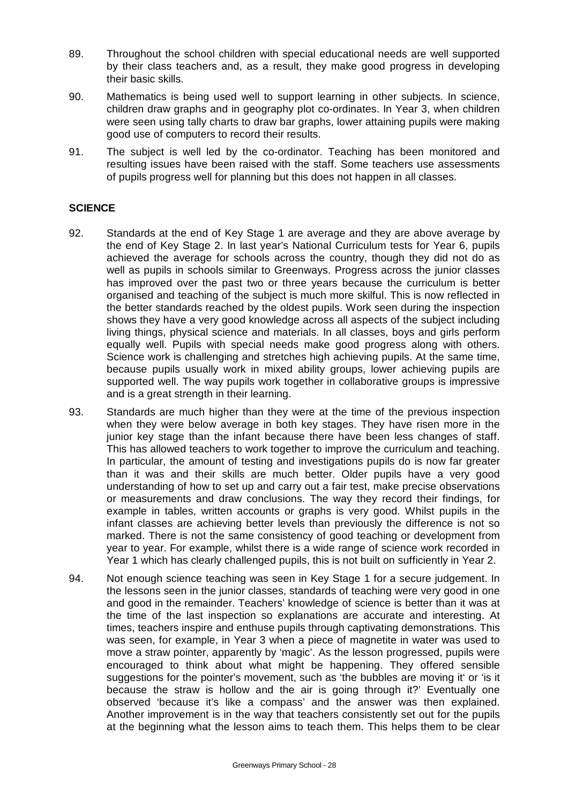- 89. Throughout the school children with special educational needs are well supported by their class teachers and, as a result, they make good progress in developing their basic skills.
- 90. Mathematics is being used well to support learning in other subjects. In science, children draw graphs and in geography plot co-ordinates. In Year 3, when children were seen using tally charts to draw bar graphs, lower attaining pupils were making good use of computers to record their results.
- 91. The subject is well led by the co-ordinator. Teaching has been monitored and resulting issues have been raised with the staff. Some teachers use assessments of pupils progress well for planning but this does not happen in all classes.

# **SCIENCE**

- 92. Standards at the end of Key Stage 1 are average and they are above average by the end of Key Stage 2. In last year's National Curriculum tests for Year 6, pupils achieved the average for schools across the country, though they did not do as well as pupils in schools similar to Greenways. Progress across the junior classes has improved over the past two or three years because the curriculum is better organised and teaching of the subject is much more skilful. This is now reflected in the better standards reached by the oldest pupils. Work seen during the inspection shows they have a very good knowledge across all aspects of the subject including living things, physical science and materials. In all classes, boys and girls perform equally well. Pupils with special needs make good progress along with others. Science work is challenging and stretches high achieving pupils. At the same time, because pupils usually work in mixed ability groups, lower achieving pupils are supported well. The way pupils work together in collaborative groups is impressive and is a great strength in their learning.
- 93. Standards are much higher than they were at the time of the previous inspection when they were below average in both key stages. They have risen more in the junior key stage than the infant because there have been less changes of staff. This has allowed teachers to work together to improve the curriculum and teaching. In particular, the amount of testing and investigations pupils do is now far greater than it was and their skills are much better. Older pupils have a very good understanding of how to set up and carry out a fair test, make precise observations or measurements and draw conclusions. The way they record their findings, for example in tables, written accounts or graphs is very good. Whilst pupils in the infant classes are achieving better levels than previously the difference is not so marked. There is not the same consistency of good teaching or development from year to year. For example, whilst there is a wide range of science work recorded in Year 1 which has clearly challenged pupils, this is not built on sufficiently in Year 2.
- 94. Not enough science teaching was seen in Key Stage 1 for a secure judgement. In the lessons seen in the junior classes, standards of teaching were very good in one and good in the remainder. Teachers' knowledge of science is better than it was at the time of the last inspection so explanations are accurate and interesting. At times, teachers inspire and enthuse pupils through captivating demonstrations. This was seen, for example, in Year 3 when a piece of magnetite in water was used to move a straw pointer, apparently by 'magic'. As the lesson progressed, pupils were encouraged to think about what might be happening. They offered sensible suggestions for the pointer's movement, such as 'the bubbles are moving it' or 'is it because the straw is hollow and the air is going through it?' Eventually one observed 'because it's like a compass' and the answer was then explained. Another improvement is in the way that teachers consistently set out for the pupils at the beginning what the lesson aims to teach them. This helps them to be clear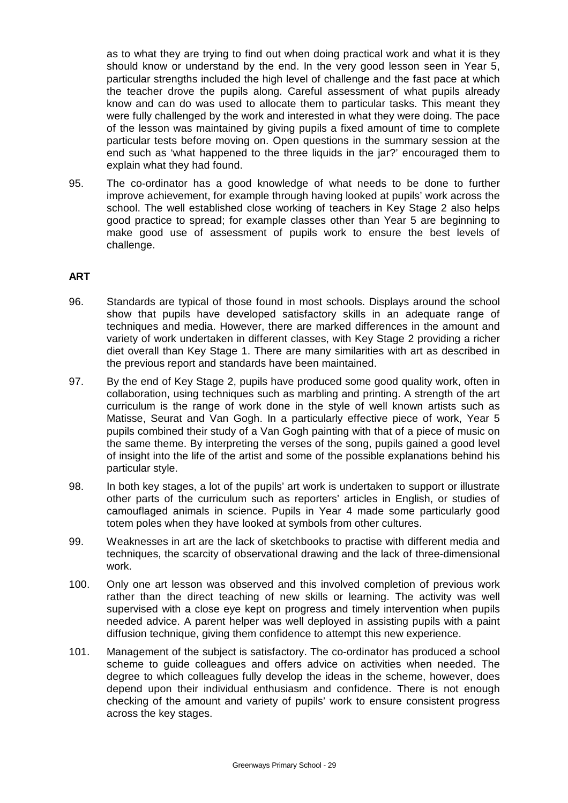as to what they are trying to find out when doing practical work and what it is they should know or understand by the end. In the very good lesson seen in Year 5, particular strengths included the high level of challenge and the fast pace at which the teacher drove the pupils along. Careful assessment of what pupils already know and can do was used to allocate them to particular tasks. This meant they were fully challenged by the work and interested in what they were doing. The pace of the lesson was maintained by giving pupils a fixed amount of time to complete particular tests before moving on. Open questions in the summary session at the end such as 'what happened to the three liquids in the jar?' encouraged them to explain what they had found.

95. The co-ordinator has a good knowledge of what needs to be done to further improve achievement, for example through having looked at pupils' work across the school. The well established close working of teachers in Key Stage 2 also helps good practice to spread; for example classes other than Year 5 are beginning to make good use of assessment of pupils work to ensure the best levels of challenge.

# **ART**

- 96. Standards are typical of those found in most schools. Displays around the school show that pupils have developed satisfactory skills in an adequate range of techniques and media. However, there are marked differences in the amount and variety of work undertaken in different classes, with Key Stage 2 providing a richer diet overall than Key Stage 1. There are many similarities with art as described in the previous report and standards have been maintained.
- 97. By the end of Key Stage 2, pupils have produced some good quality work, often in collaboration, using techniques such as marbling and printing. A strength of the art curriculum is the range of work done in the style of well known artists such as Matisse, Seurat and Van Gogh. In a particularly effective piece of work, Year 5 pupils combined their study of a Van Gogh painting with that of a piece of music on the same theme. By interpreting the verses of the song, pupils gained a good level of insight into the life of the artist and some of the possible explanations behind his particular style.
- 98. In both key stages, a lot of the pupils' art work is undertaken to support or illustrate other parts of the curriculum such as reporters' articles in English, or studies of camouflaged animals in science. Pupils in Year 4 made some particularly good totem poles when they have looked at symbols from other cultures.
- 99. Weaknesses in art are the lack of sketchbooks to practise with different media and techniques, the scarcity of observational drawing and the lack of three-dimensional work.
- 100. Only one art lesson was observed and this involved completion of previous work rather than the direct teaching of new skills or learning. The activity was well supervised with a close eye kept on progress and timely intervention when pupils needed advice. A parent helper was well deployed in assisting pupils with a paint diffusion technique, giving them confidence to attempt this new experience.
- 101. Management of the subject is satisfactory. The co-ordinator has produced a school scheme to guide colleagues and offers advice on activities when needed. The degree to which colleagues fully develop the ideas in the scheme, however, does depend upon their individual enthusiasm and confidence. There is not enough checking of the amount and variety of pupils' work to ensure consistent progress across the key stages.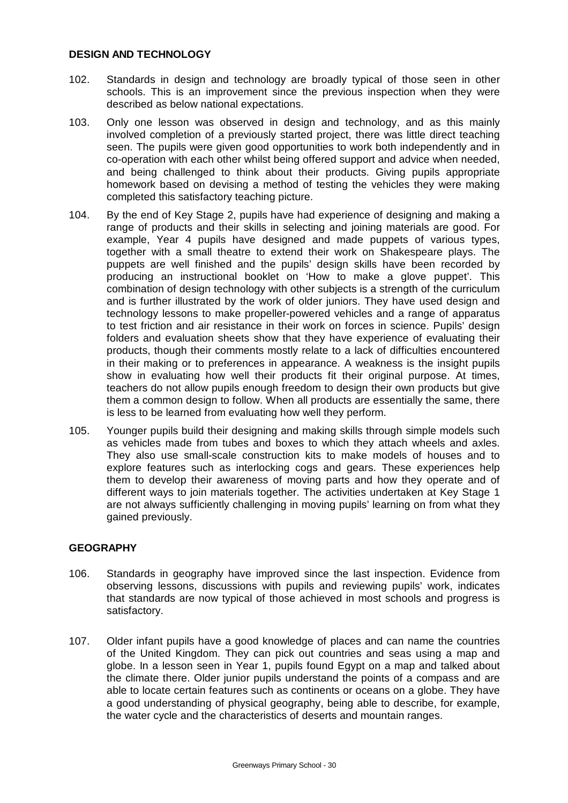# **DESIGN AND TECHNOLOGY**

- 102. Standards in design and technology are broadly typical of those seen in other schools. This is an improvement since the previous inspection when they were described as below national expectations.
- 103. Only one lesson was observed in design and technology, and as this mainly involved completion of a previously started project, there was little direct teaching seen. The pupils were given good opportunities to work both independently and in co-operation with each other whilst being offered support and advice when needed, and being challenged to think about their products. Giving pupils appropriate homework based on devising a method of testing the vehicles they were making completed this satisfactory teaching picture.
- 104. By the end of Key Stage 2, pupils have had experience of designing and making a range of products and their skills in selecting and joining materials are good. For example, Year 4 pupils have designed and made puppets of various types, together with a small theatre to extend their work on Shakespeare plays. The puppets are well finished and the pupils' design skills have been recorded by producing an instructional booklet on 'How to make a glove puppet'. This combination of design technology with other subjects is a strength of the curriculum and is further illustrated by the work of older juniors. They have used design and technology lessons to make propeller-powered vehicles and a range of apparatus to test friction and air resistance in their work on forces in science. Pupils' design folders and evaluation sheets show that they have experience of evaluating their products, though their comments mostly relate to a lack of difficulties encountered in their making or to preferences in appearance. A weakness is the insight pupils show in evaluating how well their products fit their original purpose. At times, teachers do not allow pupils enough freedom to design their own products but give them a common design to follow. When all products are essentially the same, there is less to be learned from evaluating how well they perform.
- 105. Younger pupils build their designing and making skills through simple models such as vehicles made from tubes and boxes to which they attach wheels and axles. They also use small-scale construction kits to make models of houses and to explore features such as interlocking cogs and gears. These experiences help them to develop their awareness of moving parts and how they operate and of different ways to join materials together. The activities undertaken at Key Stage 1 are not always sufficiently challenging in moving pupils' learning on from what they gained previously.

# **GEOGRAPHY**

- 106. Standards in geography have improved since the last inspection. Evidence from observing lessons, discussions with pupils and reviewing pupils' work, indicates that standards are now typical of those achieved in most schools and progress is satisfactory.
- 107. Older infant pupils have a good knowledge of places and can name the countries of the United Kingdom. They can pick out countries and seas using a map and globe. In a lesson seen in Year 1, pupils found Egypt on a map and talked about the climate there. Older junior pupils understand the points of a compass and are able to locate certain features such as continents or oceans on a globe. They have a good understanding of physical geography, being able to describe, for example, the water cycle and the characteristics of deserts and mountain ranges.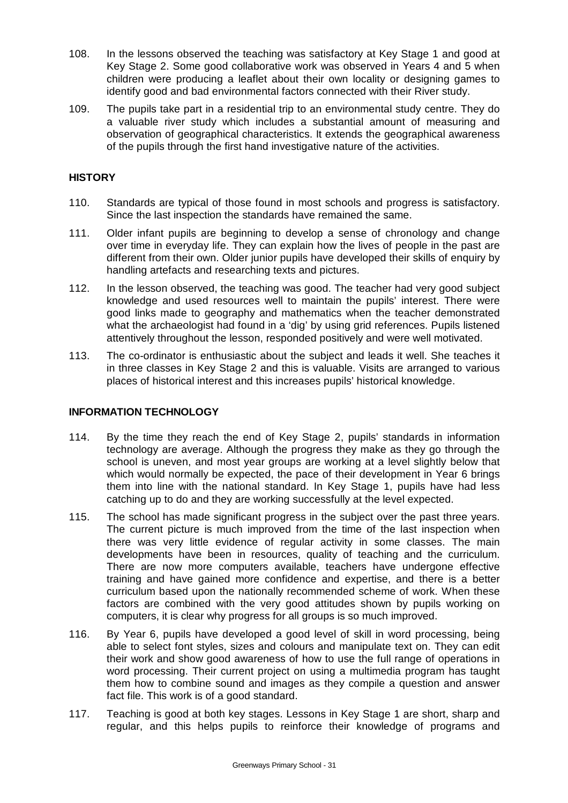- 108. In the lessons observed the teaching was satisfactory at Key Stage 1 and good at Key Stage 2. Some good collaborative work was observed in Years 4 and 5 when children were producing a leaflet about their own locality or designing games to identify good and bad environmental factors connected with their River study.
- 109. The pupils take part in a residential trip to an environmental study centre. They do a valuable river study which includes a substantial amount of measuring and observation of geographical characteristics. It extends the geographical awareness of the pupils through the first hand investigative nature of the activities.

# **HISTORY**

- 110. Standards are typical of those found in most schools and progress is satisfactory. Since the last inspection the standards have remained the same.
- 111. Older infant pupils are beginning to develop a sense of chronology and change over time in everyday life. They can explain how the lives of people in the past are different from their own. Older junior pupils have developed their skills of enquiry by handling artefacts and researching texts and pictures.
- 112. In the lesson observed, the teaching was good. The teacher had very good subject knowledge and used resources well to maintain the pupils' interest. There were good links made to geography and mathematics when the teacher demonstrated what the archaeologist had found in a 'dig' by using grid references. Pupils listened attentively throughout the lesson, responded positively and were well motivated.
- 113. The co-ordinator is enthusiastic about the subject and leads it well. She teaches it in three classes in Key Stage 2 and this is valuable. Visits are arranged to various places of historical interest and this increases pupils' historical knowledge.

# **INFORMATION TECHNOLOGY**

- 114. By the time they reach the end of Key Stage 2, pupils' standards in information technology are average. Although the progress they make as they go through the school is uneven, and most year groups are working at a level slightly below that which would normally be expected, the pace of their development in Year 6 brings them into line with the national standard. In Key Stage 1, pupils have had less catching up to do and they are working successfully at the level expected.
- 115. The school has made significant progress in the subject over the past three years. The current picture is much improved from the time of the last inspection when there was very little evidence of regular activity in some classes. The main developments have been in resources, quality of teaching and the curriculum. There are now more computers available, teachers have undergone effective training and have gained more confidence and expertise, and there is a better curriculum based upon the nationally recommended scheme of work. When these factors are combined with the very good attitudes shown by pupils working on computers, it is clear why progress for all groups is so much improved.
- 116. By Year 6, pupils have developed a good level of skill in word processing, being able to select font styles, sizes and colours and manipulate text on. They can edit their work and show good awareness of how to use the full range of operations in word processing. Their current project on using a multimedia program has taught them how to combine sound and images as they compile a question and answer fact file. This work is of a good standard.
- 117. Teaching is good at both key stages. Lessons in Key Stage 1 are short, sharp and regular, and this helps pupils to reinforce their knowledge of programs and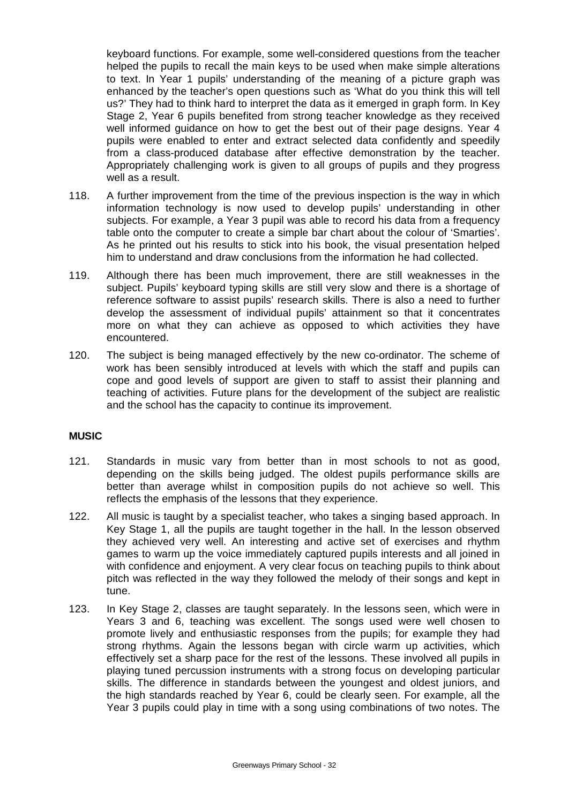keyboard functions. For example, some well-considered questions from the teacher helped the pupils to recall the main keys to be used when make simple alterations to text. In Year 1 pupils' understanding of the meaning of a picture graph was enhanced by the teacher's open questions such as 'What do you think this will tell us?' They had to think hard to interpret the data as it emerged in graph form. In Key Stage 2, Year 6 pupils benefited from strong teacher knowledge as they received well informed guidance on how to get the best out of their page designs. Year 4 pupils were enabled to enter and extract selected data confidently and speedily from a class-produced database after effective demonstration by the teacher. Appropriately challenging work is given to all groups of pupils and they progress well as a result.

- 118. A further improvement from the time of the previous inspection is the way in which information technology is now used to develop pupils' understanding in other subjects. For example, a Year 3 pupil was able to record his data from a frequency table onto the computer to create a simple bar chart about the colour of 'Smarties'. As he printed out his results to stick into his book, the visual presentation helped him to understand and draw conclusions from the information he had collected.
- 119. Although there has been much improvement, there are still weaknesses in the subject. Pupils' keyboard typing skills are still very slow and there is a shortage of reference software to assist pupils' research skills. There is also a need to further develop the assessment of individual pupils' attainment so that it concentrates more on what they can achieve as opposed to which activities they have encountered.
- 120. The subject is being managed effectively by the new co-ordinator. The scheme of work has been sensibly introduced at levels with which the staff and pupils can cope and good levels of support are given to staff to assist their planning and teaching of activities. Future plans for the development of the subject are realistic and the school has the capacity to continue its improvement.

# **MUSIC**

- 121. Standards in music vary from better than in most schools to not as good, depending on the skills being judged. The oldest pupils performance skills are better than average whilst in composition pupils do not achieve so well. This reflects the emphasis of the lessons that they experience.
- 122. All music is taught by a specialist teacher, who takes a singing based approach. In Key Stage 1, all the pupils are taught together in the hall. In the lesson observed they achieved very well. An interesting and active set of exercises and rhythm games to warm up the voice immediately captured pupils interests and all joined in with confidence and enjoyment. A very clear focus on teaching pupils to think about pitch was reflected in the way they followed the melody of their songs and kept in tune.
- 123. In Key Stage 2, classes are taught separately. In the lessons seen, which were in Years 3 and 6, teaching was excellent. The songs used were well chosen to promote lively and enthusiastic responses from the pupils; for example they had strong rhythms. Again the lessons began with circle warm up activities, which effectively set a sharp pace for the rest of the lessons. These involved all pupils in playing tuned percussion instruments with a strong focus on developing particular skills. The difference in standards between the youngest and oldest juniors, and the high standards reached by Year 6, could be clearly seen. For example, all the Year 3 pupils could play in time with a song using combinations of two notes. The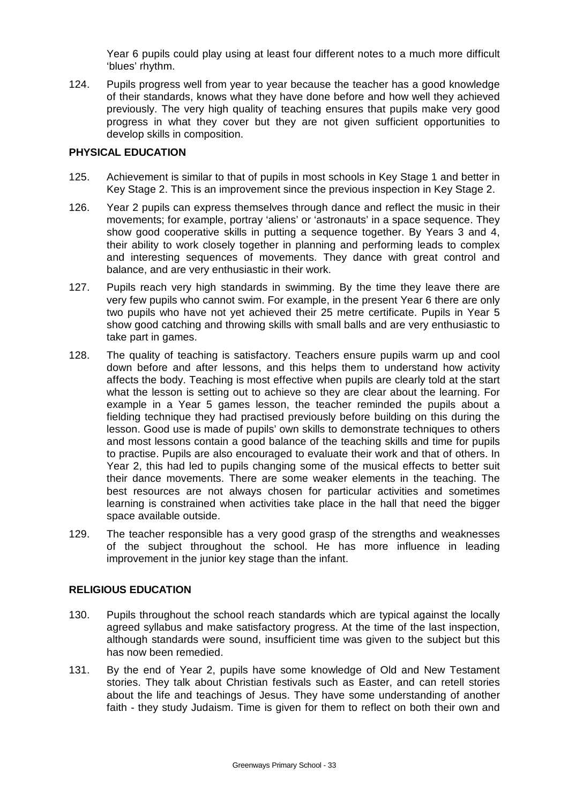Year 6 pupils could play using at least four different notes to a much more difficult 'blues' rhythm.

124. Pupils progress well from year to year because the teacher has a good knowledge of their standards, knows what they have done before and how well they achieved previously. The very high quality of teaching ensures that pupils make very good progress in what they cover but they are not given sufficient opportunities to develop skills in composition.

# **PHYSICAL EDUCATION**

- 125. Achievement is similar to that of pupils in most schools in Key Stage 1 and better in Key Stage 2. This is an improvement since the previous inspection in Key Stage 2.
- 126. Year 2 pupils can express themselves through dance and reflect the music in their movements; for example, portray 'aliens' or 'astronauts' in a space sequence. They show good cooperative skills in putting a sequence together. By Years 3 and 4, their ability to work closely together in planning and performing leads to complex and interesting sequences of movements. They dance with great control and balance, and are very enthusiastic in their work.
- 127. Pupils reach very high standards in swimming. By the time they leave there are very few pupils who cannot swim. For example, in the present Year 6 there are only two pupils who have not yet achieved their 25 metre certificate. Pupils in Year 5 show good catching and throwing skills with small balls and are very enthusiastic to take part in games.
- 128. The quality of teaching is satisfactory. Teachers ensure pupils warm up and cool down before and after lessons, and this helps them to understand how activity affects the body. Teaching is most effective when pupils are clearly told at the start what the lesson is setting out to achieve so they are clear about the learning. For example in a Year 5 games lesson, the teacher reminded the pupils about a fielding technique they had practised previously before building on this during the lesson. Good use is made of pupils' own skills to demonstrate techniques to others and most lessons contain a good balance of the teaching skills and time for pupils to practise. Pupils are also encouraged to evaluate their work and that of others. In Year 2, this had led to pupils changing some of the musical effects to better suit their dance movements. There are some weaker elements in the teaching. The best resources are not always chosen for particular activities and sometimes learning is constrained when activities take place in the hall that need the bigger space available outside.
- 129. The teacher responsible has a very good grasp of the strengths and weaknesses of the subject throughout the school. He has more influence in leading improvement in the junior key stage than the infant.

# **RELIGIOUS EDUCATION**

- 130. Pupils throughout the school reach standards which are typical against the locally agreed syllabus and make satisfactory progress. At the time of the last inspection, although standards were sound, insufficient time was given to the subject but this has now been remedied.
- 131. By the end of Year 2, pupils have some knowledge of Old and New Testament stories. They talk about Christian festivals such as Easter, and can retell stories about the life and teachings of Jesus. They have some understanding of another faith - they study Judaism. Time is given for them to reflect on both their own and